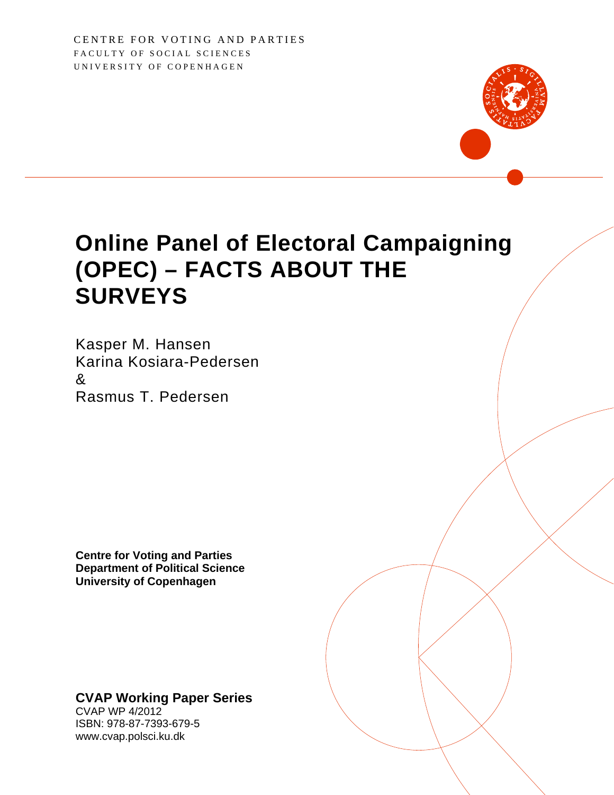CENTRE FOR VOTING AND PARTIES FACULTY OF SOCIAL SCIENCES UNIVERSITY OF COPENHAGEN

## **Online Panel of Electoral Campaigning (OPEC) – FACTS ABOUT THE SURVEYS**

Kasper M. Hansen Karina Kosiara-Pedersen & Rasmus T. Pedersen

**Centre for Voting and Parties Department of Political Science University of Copenhagen** 

#### **CVAP Working Paper Series**

CVAP WP 4/2012 ISBN: 978-87-7393-679-5 www.cvap.polsci.ku.dk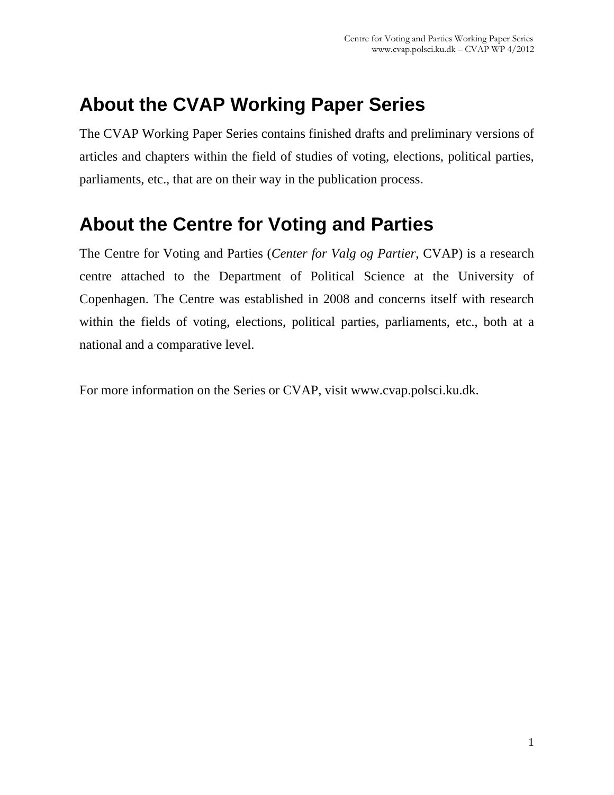## **About the CVAP Working Paper Series**

The CVAP Working Paper Series contains finished drafts and preliminary versions of articles and chapters within the field of studies of voting, elections, political parties, parliaments, etc., that are on their way in the publication process.

## **About the Centre for Voting and Parties**

The Centre for Voting and Parties (*Center for Valg og Partier*, CVAP) is a research centre attached to the Department of Political Science at the University of Copenhagen. The Centre was established in 2008 and concerns itself with research within the fields of voting, elections, political parties, parliaments, etc., both at a national and a comparative level.

For more information on the Series or CVAP, visit www.cvap.polsci.ku.dk.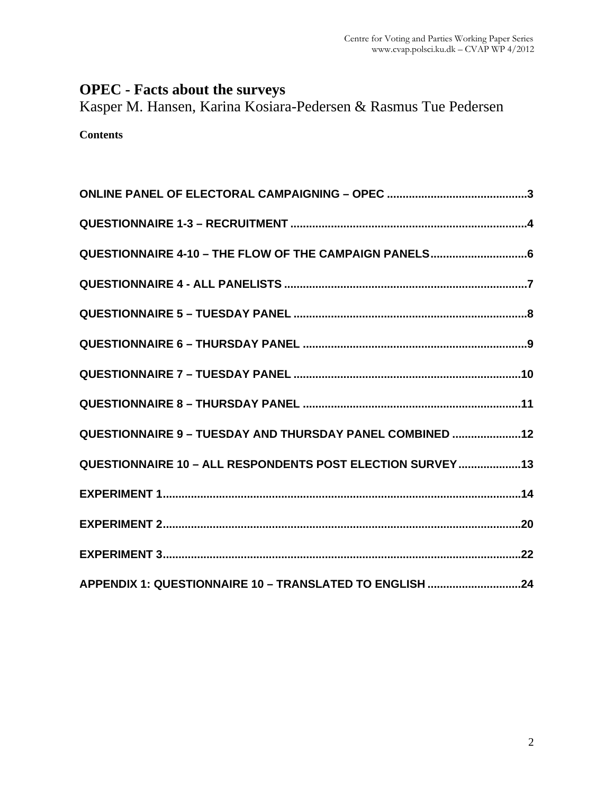#### **OPEC - Facts about the surveys**

Kasper M. Hansen, Karina Kosiara-Pedersen & Rasmus Tue Pedersen

**Contents** 

| QUESTIONNAIRE 4-10 - THE FLOW OF THE CAMPAIGN PANELS6     |
|-----------------------------------------------------------|
|                                                           |
|                                                           |
|                                                           |
|                                                           |
|                                                           |
| QUESTIONNAIRE 9 - TUESDAY AND THURSDAY PANEL COMBINED 12  |
| QUESTIONNAIRE 10 - ALL RESPONDENTS POST ELECTION SURVEY13 |
|                                                           |
|                                                           |
|                                                           |
| APPENDIX 1: QUESTIONNAIRE 10 - TRANSLATED TO ENGLISH 24   |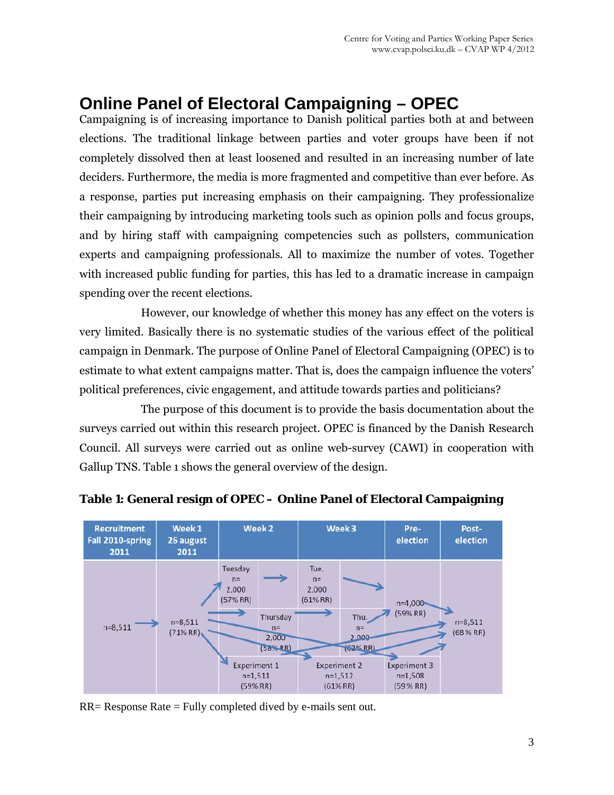## **Online Panel of Electoral Campaigning – OPEC**

Campaigning is of increasing importance to Danish political parties both at and between elections. The traditional linkage between parties and voter groups have been if not completely dissolved then at least loosened and resulted in an increasing number of late deciders. Furthermore, the media is more fragmented and competitive than ever before. As a response, parties put increasing emphasis on their campaigning. They professionalize their campaigning by introducing marketing tools such as opinion polls and focus groups, and by hiring staff with campaigning competencies such as pollsters, communication experts and campaigning professionals. All to maximize the number of votes. Together with increased public funding for parties, this has led to a dramatic increase in campaign spending over the recent elections.

However, our knowledge of whether this money has any effect on the voters is very limited. Basically there is no systematic studies of the various effect of the political campaign in Denmark. The purpose of Online Panel of Electoral Campaigning (OPEC) is to estimate to what extent campaigns matter. That is, does the campaign influence the voters' political preferences, civic engagement, and attitude towards parties and politicians?

The purpose of this document is to provide the basis documentation about the surveys carried out within this research project. OPEC is financed by the Danish Research Council. All surveys were carried out as online web-survey (CAWI) in cooperation with Gallup TNS. Table 1 shows the general overview of the design.



#### **Table 1: General resign of OPEC – Online Panel of Electoral Campaigning**

 $RR =$  Response Rate  $=$  Fully completed dived by e-mails sent out.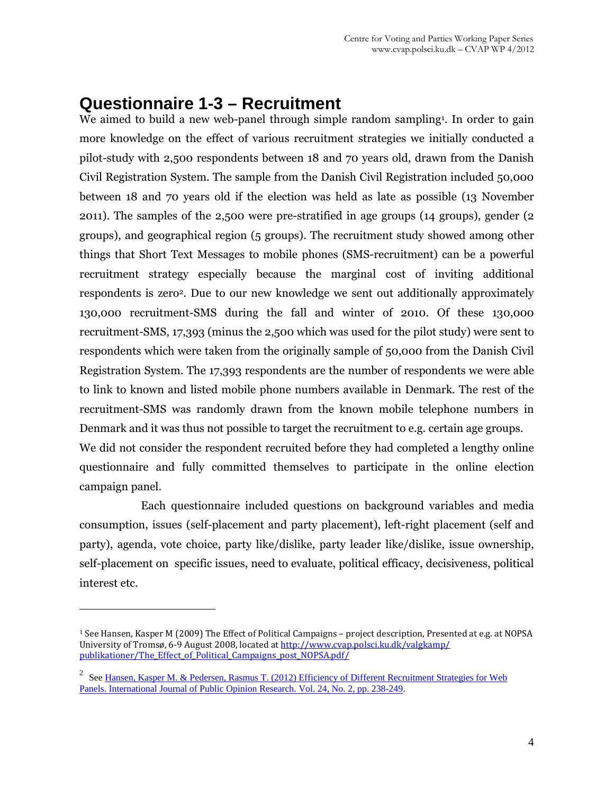### **Questionnaire 1-3 – Recruitment**

We aimed to build a new web-panel through simple random sampling<sup>1</sup>. In order to gain more knowledge on the effect of various recruitment strategies we initially conducted a pilot-study with 2,500 respondents between 18 and 70 years old, drawn from the Danish Civil Registration System. The sample from the Danish Civil Registration included 50,000 between 18 and 70 years old if the election was held as late as possible (13 November 2011). The samples of the 2,500 were pre-stratified in age groups (14 groups), gender (2 groups), and geographical region (5 groups). The recruitment study showed among other things that Short Text Messages to mobile phones (SMS-recruitment) can be a powerful recruitment strategy especially because the marginal cost of inviting additional respondents is zero<sup>2</sup>. Due to our new knowledge we sent out additionally approximately 130,000 recruitment-SMS during the fall and winter of 2010. Of these 130,000 recruitment-SMS, 17,393 (minus the 2,500 which was used for the pilot study) were sent to respondents which were taken from the originally sample of 50,000 from the Danish Civil Registration System. The 17,393 respondents are the number of respondents we were able to link to known and listed mobile phone numbers available in Denmark. The rest of the recruitment-SMS was randomly drawn from the known mobile telephone numbers in Denmark and it was thus not possible to target the recruitment to e.g. certain age groups. We did not consider the respondent recruited before they had completed a lengthy online questionnaire and fully committed themselves to participate in the online election campaign panel.

Each questionnaire included questions on background variables and media consumption, issues (self-placement and party placement), left-right placement (self and party), agenda, vote choice, party like/dislike, party leader like/dislike, issue ownership, self-placement on specific issues, need to evaluate, political efficacy, decisiveness, political interest etc.

 $\overline{a}$ 

<sup>1</sup> See Hansen, Kasper M (2009) The Effect of Political Campaigns – project description, Presented at e.g. at NOPSA University of Tromsø, 6‐9 August 2008, located at http://www.cvap.polsci.ku.dk/valgkamp/ publikationer/The\_Effect\_of\_Political\_Campaigns\_post\_NOPSA.pdf/

<sup>&</sup>lt;sup>2</sup> See Hansen, Kasper M. & Pedersen, Rasmus T. (2012) Efficiency of Different Recruitment Strategies for Web Panels. International Journal of Public Opinion Research. Vol. 24, No. 2, pp. 238-249.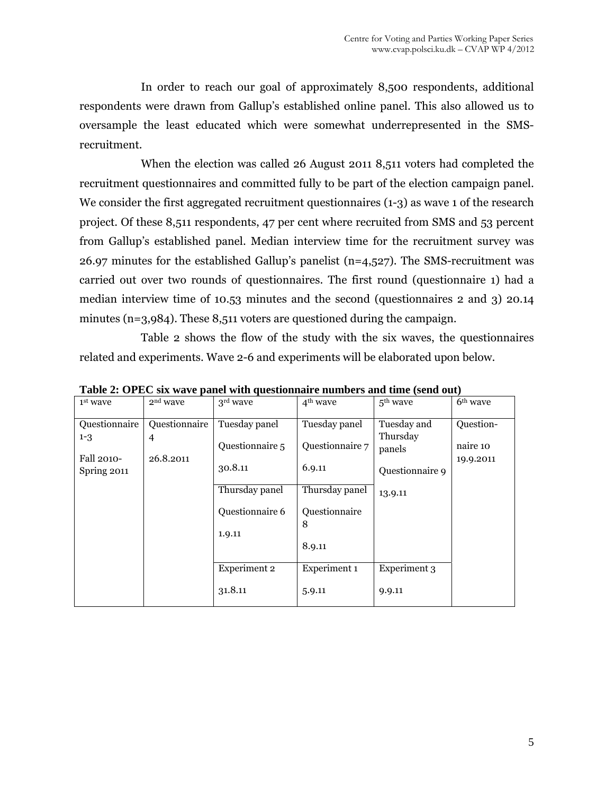In order to reach our goal of approximately 8,500 respondents, additional respondents were drawn from Gallup's established online panel. This also allowed us to oversample the least educated which were somewhat underrepresented in the SMSrecruitment.

When the election was called 26 August 2011 8,511 voters had completed the recruitment questionnaires and committed fully to be part of the election campaign panel. We consider the first aggregated recruitment questionnaires (1-3) as wave 1 of the research project. Of these 8,511 respondents, 47 per cent where recruited from SMS and 53 percent from Gallup's established panel. Median interview time for the recruitment survey was 26.97 minutes for the established Gallup's panelist ( $n=4,527$ ). The SMS-recruitment was carried out over two rounds of questionnaires. The first round (questionnaire 1) had a median interview time of 10.53 minutes and the second (questionnaires 2 and 3) 20.14 minutes (n=3,984). These 8,511 voters are questioned during the campaign.

Table 2 shows the flow of the study with the six waves, the questionnaires related and experiments. Wave 2-6 and experiments will be elaborated upon below.

| $1st$ wave                             | $2nd$ wave                      | 3 <sup>rd</sup> wave             | 4 <sup>th</sup> wave             | $5th$ wave                        | 6 <sup>th</sup> wave               |
|----------------------------------------|---------------------------------|----------------------------------|----------------------------------|-----------------------------------|------------------------------------|
| Questionnaire<br>$1 - 3$<br>Fall 2010- | Questionnaire<br>4<br>26.8.2011 | Tuesday panel<br>Questionnaire 5 | Tuesday panel<br>Questionnaire 7 | Tuesday and<br>Thursday<br>panels | Question-<br>naire 10<br>19.9.2011 |
| Spring 2011                            |                                 | 30.8.11<br>Thursday panel        | 6.9.11<br>Thursday panel         | Questionnaire 9<br>13.9.11        |                                    |
|                                        |                                 | Questionnaire 6                  | Questionnaire<br>8               |                                   |                                    |
|                                        |                                 | 1.9.11                           | 8.9.11                           |                                   |                                    |
|                                        |                                 | Experiment 2                     | Experiment 1                     | Experiment 3                      |                                    |
|                                        |                                 | 31.8.11                          | 5.9.11                           | 9.9.11                            |                                    |

**Table 2: OPEC six wave panel with questionnaire numbers and time (send out)**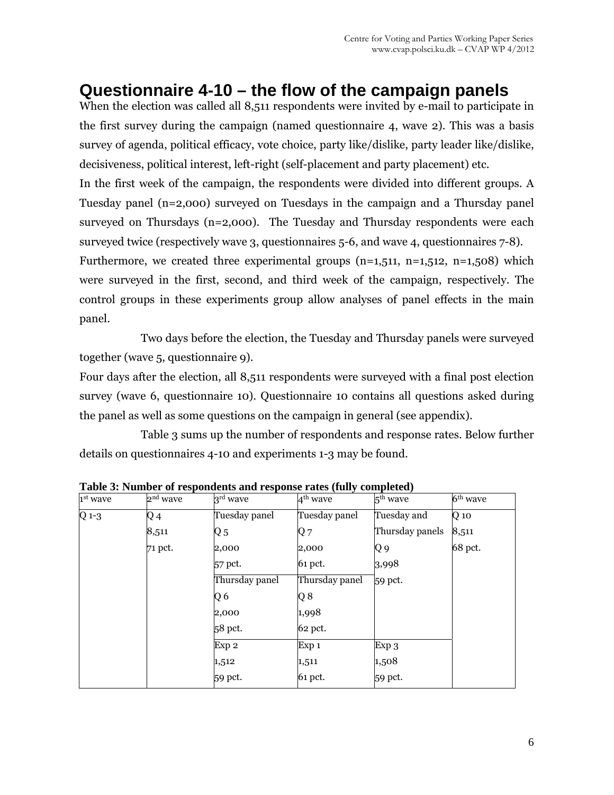## **Questionnaire 4-10 – the flow of the campaign panels**

When the election was called all 8,511 respondents were invited by e-mail to participate in the first survey during the campaign (named questionnaire 4, wave 2). This was a basis survey of agenda, political efficacy, vote choice, party like/dislike, party leader like/dislike, decisiveness, political interest, left-right (self-placement and party placement) etc.

In the first week of the campaign, the respondents were divided into different groups. A Tuesday panel (n=2,000) surveyed on Tuesdays in the campaign and a Thursday panel surveyed on Thursdays (n=2,000). The Tuesday and Thursday respondents were each surveyed twice (respectively wave 3, questionnaires 5-6, and wave 4, questionnaires 7-8).

Furthermore, we created three experimental groups  $(n=1,511, n=1,512, n=1,508)$  which were surveyed in the first, second, and third week of the campaign, respectively. The control groups in these experiments group allow analyses of panel effects in the main panel.

Two days before the election, the Tuesday and Thursday panels were surveyed together (wave 5, questionnaire 9).

Four days after the election, all 8,511 respondents were surveyed with a final post election survey (wave 6, questionnaire 10). Questionnaire 10 contains all questions asked during the panel as well as some questions on the campaign in general (see appendix).

Table 3 sums up the number of respondents and response rates. Below further details on questionnaires 4-10 and experiments 1-3 may be found.

| 1st wave  | 2 <sup>nd</sup> wave | 3 <sup>rd</sup> wave | 4 <sup>th</sup> wave | 5 <sup>th</sup> wave | 6 <sup>th</sup> wave |
|-----------|----------------------|----------------------|----------------------|----------------------|----------------------|
| $Q_1 - 3$ | Q4                   | Tuesday panel        | Tuesday panel        | Tuesday and          | $Q$ 10               |
|           | 8,511                | Q <sub>5</sub>       | Q7                   | Thursday panels      | 8,511                |
|           | 71 pct.              | 2,000                | 2,000                | Q9                   | 68 pct.              |
|           |                      | 57 pct.              | 61 pct.              | 3,998                |                      |
|           |                      | Thursday panel       | Thursday panel       | 59 pct.              |                      |
|           |                      | Q6                   | Q8                   |                      |                      |
|           |                      | 2,000                | 1,998                |                      |                      |
|           |                      | 58 pct.              | 62 pct.              |                      |                      |
|           |                      | Exp 2                | Exp 1                | Exp 3                |                      |
|           |                      | 1,512                | 1,511                | 1,508                |                      |
|           |                      | 59 pct.              | 61 pct.              | 59 pct.              |                      |

**Table 3: Number of respondents and response rates (fully completed)**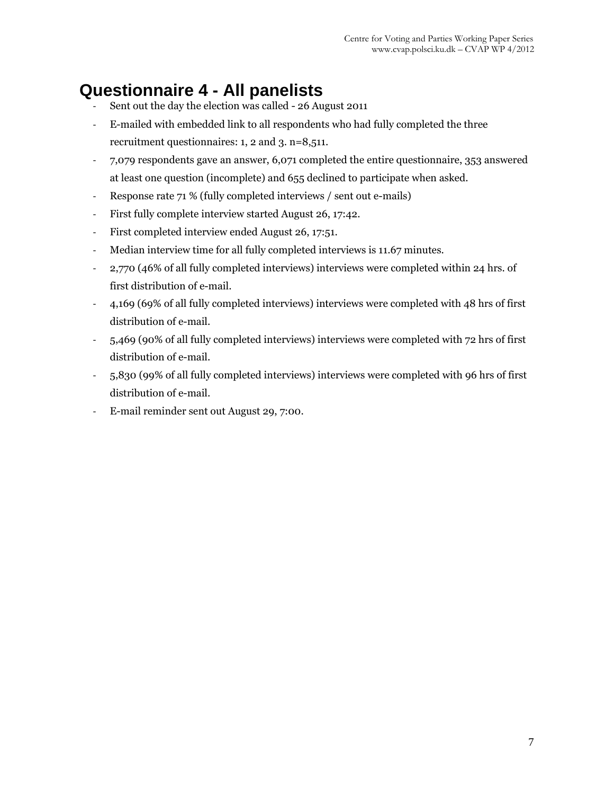## **Questionnaire 4 - All panelists**

- Sent out the day the election was called 26 August 2011
- ‐ E-mailed with embedded link to all respondents who had fully completed the three recruitment questionnaires: 1, 2 and 3. n=8,511.
- ‐ 7,079 respondents gave an answer, 6,071 completed the entire questionnaire, 353 answered at least one question (incomplete) and 655 declined to participate when asked.
- ‐ Response rate 71 % (fully completed interviews / sent out e-mails)
- ‐ First fully complete interview started August 26, 17:42.
- ‐ First completed interview ended August 26, 17:51.
- ‐ Median interview time for all fully completed interviews is 11.67 minutes.
- ‐ 2,770 (46% of all fully completed interviews) interviews were completed within 24 hrs. of first distribution of e-mail.
- ‐ 4,169 (69% of all fully completed interviews) interviews were completed with 48 hrs of first distribution of e-mail.
- ‐ 5,469 (90% of all fully completed interviews) interviews were completed with 72 hrs of first distribution of e-mail.
- ‐ 5,830 (99% of all fully completed interviews) interviews were completed with 96 hrs of first distribution of e-mail.
- ‐ E-mail reminder sent out August 29, 7:00.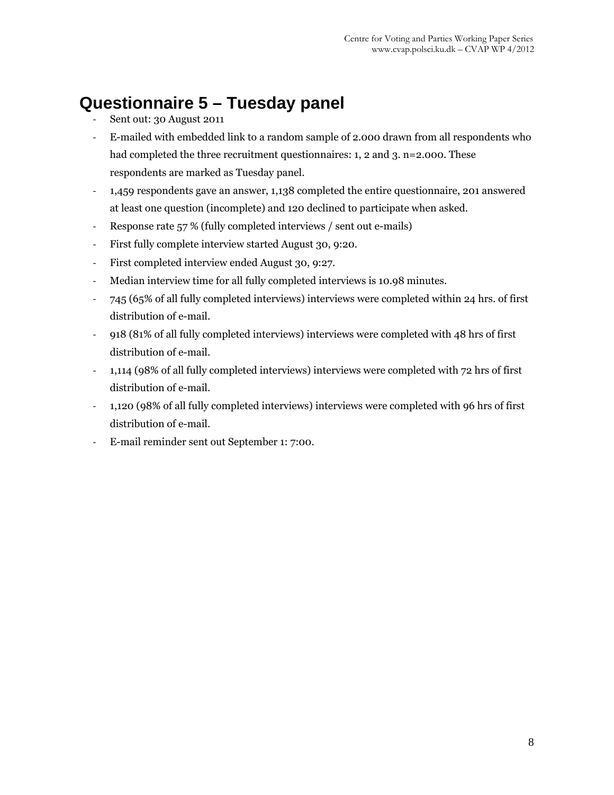## **Questionnaire 5 – Tuesday panel**

- Sent out: 30 August 2011
- ‐ E-mailed with embedded link to a random sample of 2.000 drawn from all respondents who had completed the three recruitment questionnaires: 1, 2 and 3. n=2.000. These respondents are marked as Tuesday panel.
- ‐ 1,459 respondents gave an answer, 1,138 completed the entire questionnaire, 201 answered at least one question (incomplete) and 120 declined to participate when asked.
- ‐ Response rate 57 % (fully completed interviews / sent out e-mails)
- ‐ First fully complete interview started August 30, 9:20.
- ‐ First completed interview ended August 30, 9:27.
- ‐ Median interview time for all fully completed interviews is 10.98 minutes.
- ‐ 745 (65% of all fully completed interviews) interviews were completed within 24 hrs. of first distribution of e-mail.
- ‐ 918 (81% of all fully completed interviews) interviews were completed with 48 hrs of first distribution of e-mail.
- ‐ 1,114 (98% of all fully completed interviews) interviews were completed with 72 hrs of first distribution of e-mail.
- ‐ 1,120 (98% of all fully completed interviews) interviews were completed with 96 hrs of first distribution of e-mail.
- ‐ E-mail reminder sent out September 1: 7:00.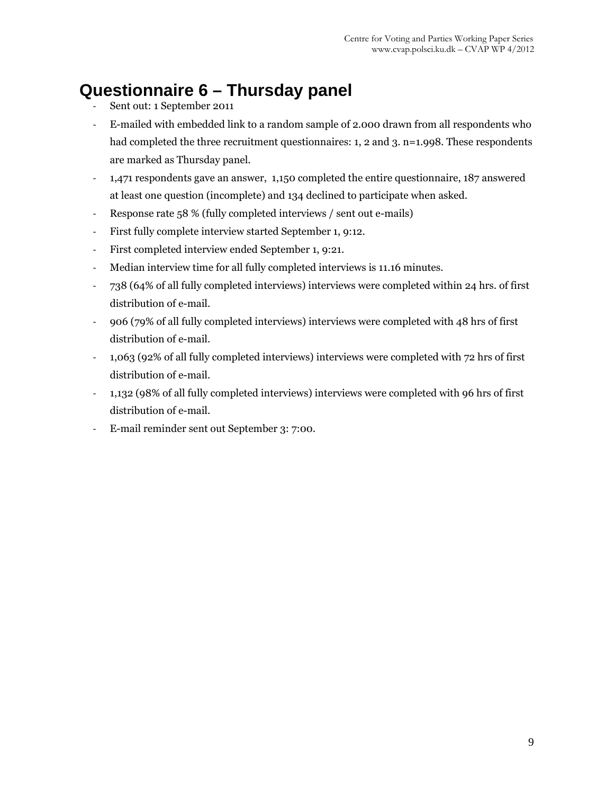## **Questionnaire 6 – Thursday panel**

- ‐ Sent out: 1 September 2011
- ‐ E-mailed with embedded link to a random sample of 2.000 drawn from all respondents who had completed the three recruitment questionnaires: 1, 2 and 3. n=1.998. These respondents are marked as Thursday panel.
- ‐ 1,471 respondents gave an answer, 1,150 completed the entire questionnaire, 187 answered at least one question (incomplete) and 134 declined to participate when asked.
- ‐ Response rate 58 % (fully completed interviews / sent out e-mails)
- ‐ First fully complete interview started September 1, 9:12.
- ‐ First completed interview ended September 1, 9:21.
- ‐ Median interview time for all fully completed interviews is 11.16 minutes.
- ‐ 738 (64% of all fully completed interviews) interviews were completed within 24 hrs. of first distribution of e-mail.
- ‐ 906 (79% of all fully completed interviews) interviews were completed with 48 hrs of first distribution of e-mail.
- ‐ 1,063 (92% of all fully completed interviews) interviews were completed with 72 hrs of first distribution of e-mail.
- ‐ 1,132 (98% of all fully completed interviews) interviews were completed with 96 hrs of first distribution of e-mail.
- ‐ E-mail reminder sent out September 3: 7:00.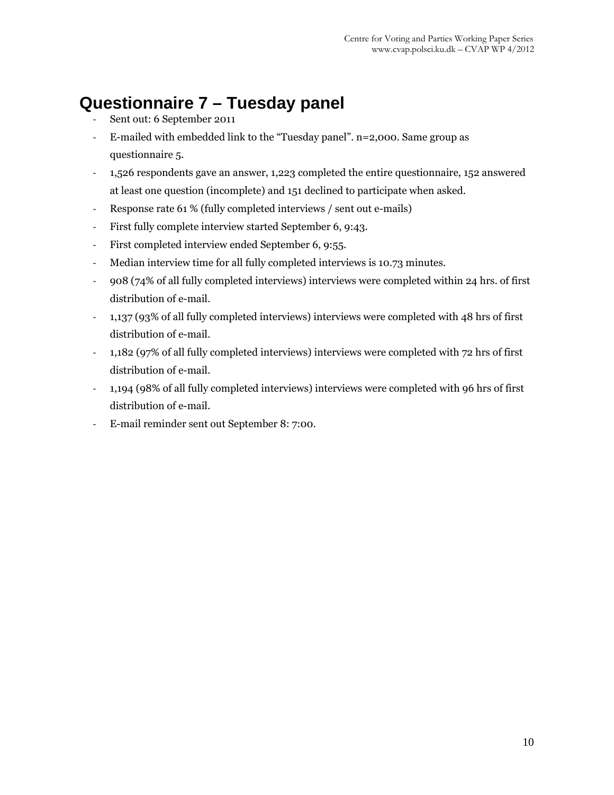## **Questionnaire 7 – Tuesday panel**

- Sent out: 6 September 2011
- ‐ E-mailed with embedded link to the "Tuesday panel". n=2,000. Same group as questionnaire 5.
- ‐ 1,526 respondents gave an answer, 1,223 completed the entire questionnaire, 152 answered at least one question (incomplete) and 151 declined to participate when asked.
- ‐ Response rate 61 % (fully completed interviews / sent out e-mails)
- ‐ First fully complete interview started September 6, 9:43.
- ‐ First completed interview ended September 6, 9:55.
- ‐ Median interview time for all fully completed interviews is 10.73 minutes.
- ‐ 908 (74% of all fully completed interviews) interviews were completed within 24 hrs. of first distribution of e-mail.
- ‐ 1,137 (93% of all fully completed interviews) interviews were completed with 48 hrs of first distribution of e-mail.
- ‐ 1,182 (97% of all fully completed interviews) interviews were completed with 72 hrs of first distribution of e-mail.
- ‐ 1,194 (98% of all fully completed interviews) interviews were completed with 96 hrs of first distribution of e-mail.
- ‐ E-mail reminder sent out September 8: 7:00.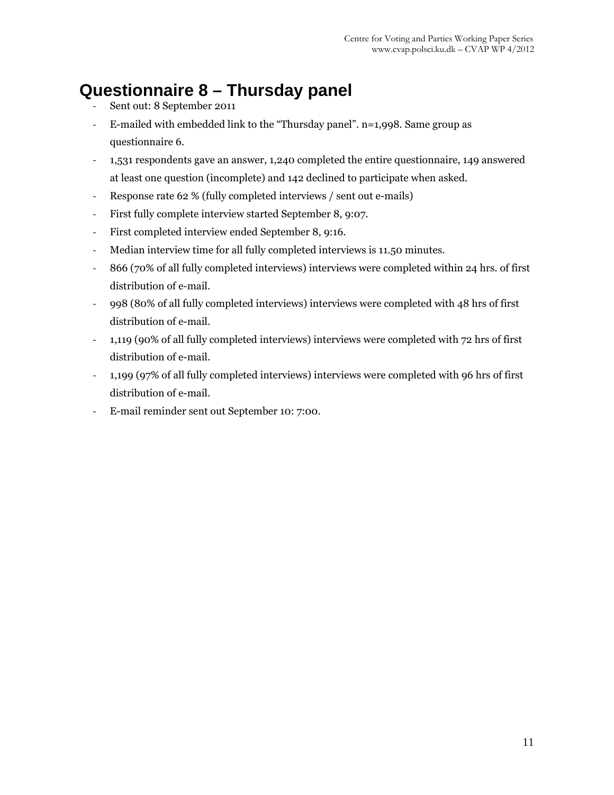## **Questionnaire 8 – Thursday panel**

- ‐ Sent out: 8 September 2011
- ‐ E-mailed with embedded link to the "Thursday panel". n=1,998. Same group as questionnaire 6.
- ‐ 1,531 respondents gave an answer, 1,240 completed the entire questionnaire, 149 answered at least one question (incomplete) and 142 declined to participate when asked.
- ‐ Response rate 62 % (fully completed interviews / sent out e-mails)
- ‐ First fully complete interview started September 8, 9:07.
- ‐ First completed interview ended September 8, 9:16.
- ‐ Median interview time for all fully completed interviews is 11.50 minutes.
- ‐ 866 (70% of all fully completed interviews) interviews were completed within 24 hrs. of first distribution of e-mail.
- ‐ 998 (80% of all fully completed interviews) interviews were completed with 48 hrs of first distribution of e-mail.
- ‐ 1,119 (90% of all fully completed interviews) interviews were completed with 72 hrs of first distribution of e-mail.
- ‐ 1,199 (97% of all fully completed interviews) interviews were completed with 96 hrs of first distribution of e-mail.
- ‐ E-mail reminder sent out September 10: 7:00.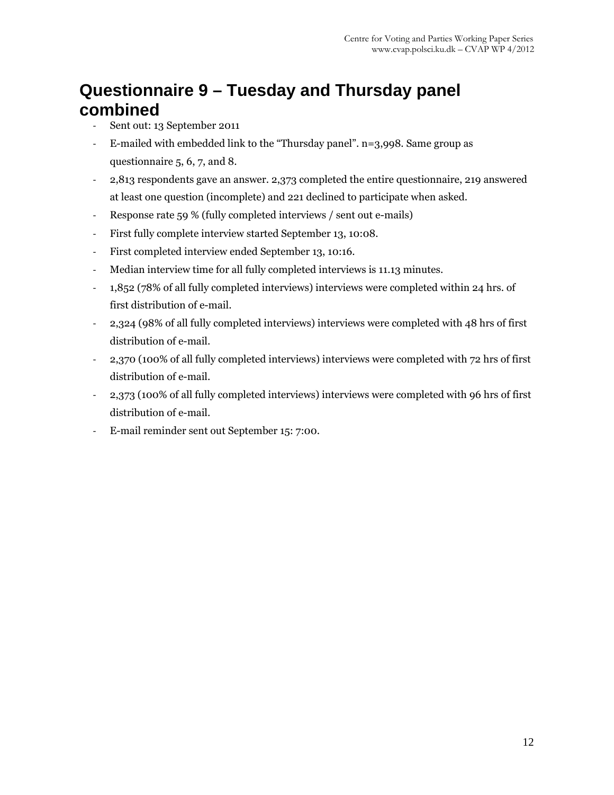## **Questionnaire 9 – Tuesday and Thursday panel combined**

- ‐ Sent out: 13 September 2011
- ‐ E-mailed with embedded link to the "Thursday panel". n=3,998. Same group as questionnaire 5, 6, 7, and 8.
- ‐ 2,813 respondents gave an answer. 2,373 completed the entire questionnaire, 219 answered at least one question (incomplete) and 221 declined to participate when asked.
- ‐ Response rate 59 % (fully completed interviews / sent out e-mails)
- ‐ First fully complete interview started September 13, 10:08.
- ‐ First completed interview ended September 13, 10:16.
- ‐ Median interview time for all fully completed interviews is 11.13 minutes.
- ‐ 1,852 (78% of all fully completed interviews) interviews were completed within 24 hrs. of first distribution of e-mail.
- ‐ 2,324 (98% of all fully completed interviews) interviews were completed with 48 hrs of first distribution of e-mail.
- ‐ 2,370 (100% of all fully completed interviews) interviews were completed with 72 hrs of first distribution of e-mail.
- ‐ 2,373 (100% of all fully completed interviews) interviews were completed with 96 hrs of first distribution of e-mail.
- ‐ E-mail reminder sent out September 15: 7:00.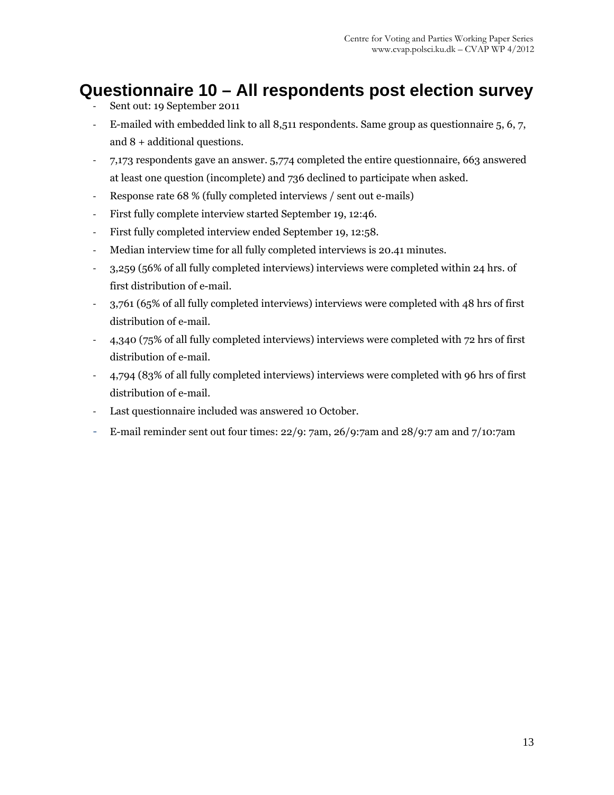## **Questionnaire 10 – All respondents post election survey**

- ‐ Sent out: 19 September 2011
- ‐ E-mailed with embedded link to all 8,511 respondents. Same group as questionnaire 5, 6, 7, and 8 + additional questions.
- ‐ 7,173 respondents gave an answer. 5,774 completed the entire questionnaire, 663 answered at least one question (incomplete) and 736 declined to participate when asked.
- ‐ Response rate 68 % (fully completed interviews / sent out e-mails)
- ‐ First fully complete interview started September 19, 12:46.
- ‐ First fully completed interview ended September 19, 12:58.
- ‐ Median interview time for all fully completed interviews is 20.41 minutes.
- ‐ 3,259 (56% of all fully completed interviews) interviews were completed within 24 hrs. of first distribution of e-mail.
- ‐ 3,761 (65% of all fully completed interviews) interviews were completed with 48 hrs of first distribution of e-mail.
- ‐ 4,340 (75% of all fully completed interviews) interviews were completed with 72 hrs of first distribution of e-mail.
- ‐ 4,794 (83% of all fully completed interviews) interviews were completed with 96 hrs of first distribution of e-mail.
- ‐ Last questionnaire included was answered 10 October.
- ‐ E-mail reminder sent out four times: 22/9: 7am, 26/9:7am and 28/9:7 am and 7/10:7am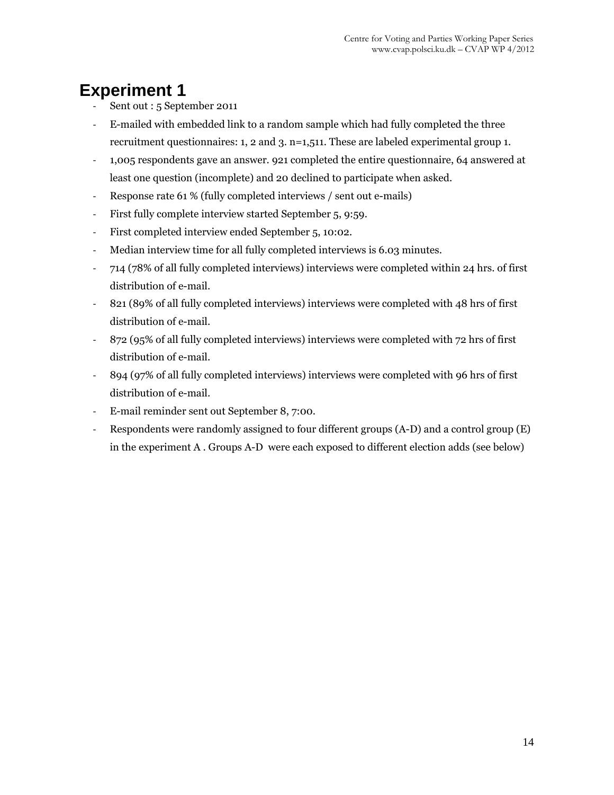## **Experiment 1**

- Sent out : 5 September 2011
- ‐ E-mailed with embedded link to a random sample which had fully completed the three recruitment questionnaires: 1, 2 and 3. n=1,511. These are labeled experimental group 1.
- ‐ 1,005 respondents gave an answer. 921 completed the entire questionnaire, 64 answered at least one question (incomplete) and 20 declined to participate when asked.
- ‐ Response rate 61 % (fully completed interviews / sent out e-mails)
- ‐ First fully complete interview started September 5, 9:59.
- ‐ First completed interview ended September 5, 10:02.
- ‐ Median interview time for all fully completed interviews is 6.03 minutes.
- ‐ 714 (78% of all fully completed interviews) interviews were completed within 24 hrs. of first distribution of e-mail.
- ‐ 821 (89% of all fully completed interviews) interviews were completed with 48 hrs of first distribution of e-mail.
- ‐ 872 (95% of all fully completed interviews) interviews were completed with 72 hrs of first distribution of e-mail.
- ‐ 894 (97% of all fully completed interviews) interviews were completed with 96 hrs of first distribution of e-mail.
- ‐ E-mail reminder sent out September 8, 7:00.
- ‐ Respondents were randomly assigned to four different groups (A-D) and a control group (E) in the experiment A . Groups A-D were each exposed to different election adds (see below)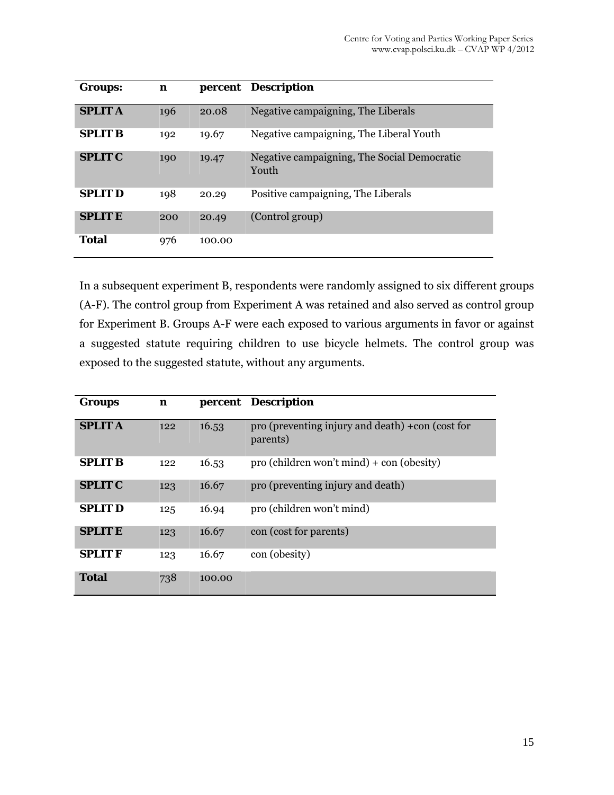| <b>Groups:</b> | n   |        | percent Description                                  |
|----------------|-----|--------|------------------------------------------------------|
| <b>SPLIT A</b> | 196 | 20.08  | Negative campaigning, The Liberals                   |
| <b>SPLIT B</b> | 192 | 19.67  | Negative campaigning, The Liberal Youth              |
| <b>SPLIT C</b> | 190 | 19.47  | Negative campaigning, The Social Democratic<br>Youth |
| <b>SPLIT D</b> | 198 | 20.29  | Positive campaigning, The Liberals                   |
| <b>SPLIT E</b> | 200 | 20.49  | (Control group)                                      |
| <b>Total</b>   | 976 | 100.00 |                                                      |

In a subsequent experiment B, respondents were randomly assigned to six different groups (A-F). The control group from Experiment A was retained and also served as control group for Experiment B. Groups A-F were each exposed to various arguments in favor or against a suggested statute requiring children to use bicycle helmets. The control group was exposed to the suggested statute, without any arguments.

| <b>Groups</b>  | $\mathbf n$ |        | percent Description                                                   |
|----------------|-------------|--------|-----------------------------------------------------------------------|
| <b>SPLIT A</b> | 122         | 16.53  | pro (preventing injury and death) $+\text{con}$ (cost for<br>parents) |
| <b>SPLIT B</b> | 122         | 16.53  | $pro$ (children won't mind) + con (obesity)                           |
| <b>SPLIT C</b> | 123         | 16.67  | pro (preventing injury and death)                                     |
| <b>SPLIT D</b> | 125         | 16.94  | pro (children won't mind)                                             |
| <b>SPLIT E</b> | 123         | 16.67  | con (cost for parents)                                                |
| <b>SPLIT F</b> | 123         | 16.67  | con (obesity)                                                         |
| <b>Total</b>   | 738         | 100.00 |                                                                       |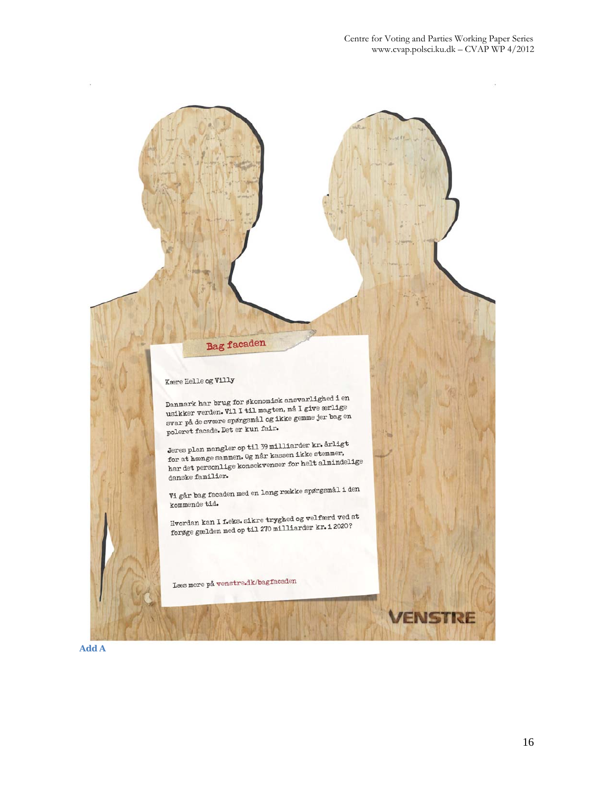

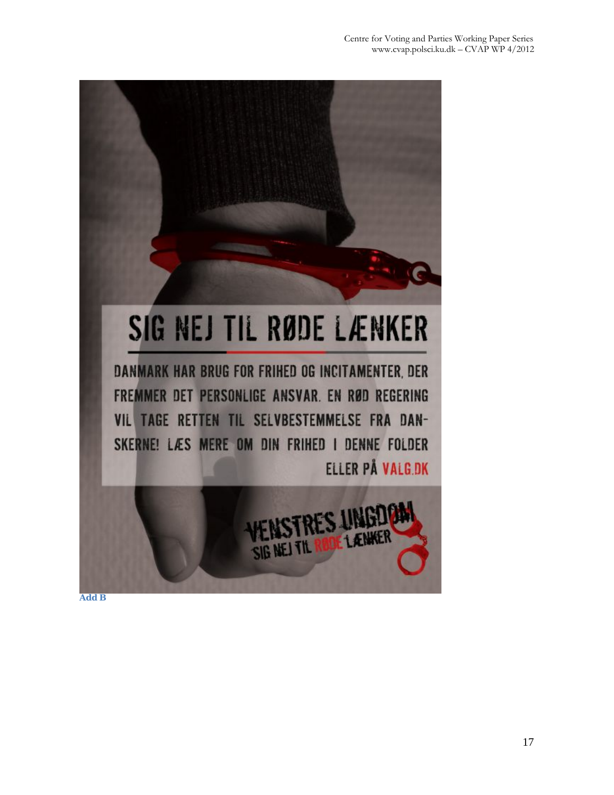

**Add B**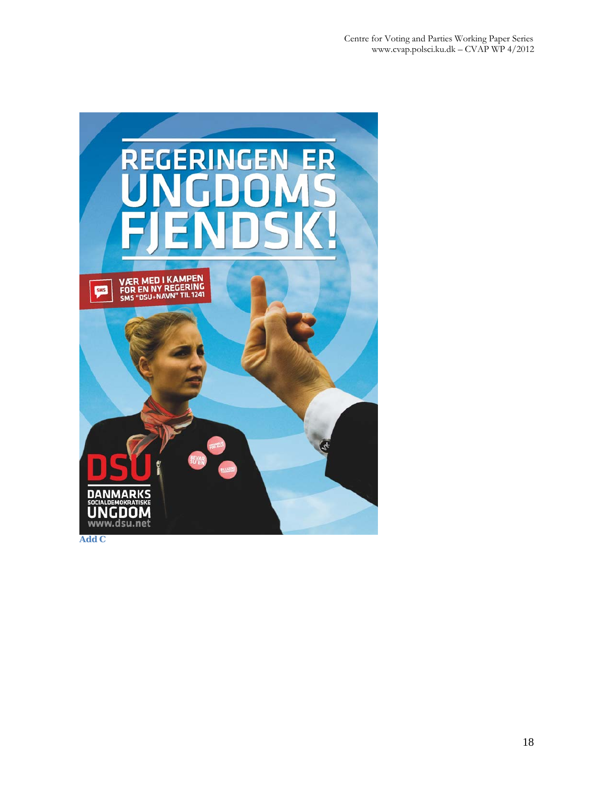

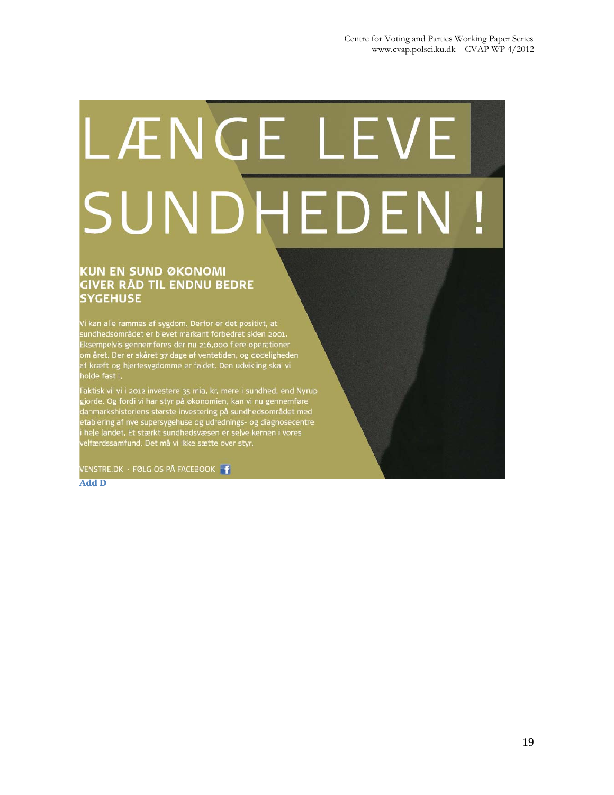# LÆNGE LEVE SUNDHEDEN!

#### **KUN EN SUND ØKONOMI** GIVER RÅD TIL ENDNU BEDRE **SYGEHUSE**

Vi kan alle rammes af sygdom. Derfor er det positivt, at<br>sundhedsområdet er blevet markant forbedret siden 2001.<br>Eksempelvis gennemføres der nu 216.000 flere operationer<br>om året. Der er skåret 37 dage af ventetiden, og død holde fast i.

Faktisk vil vi i 2012 investere 35 mia, kr, mere i sundhed, end Nyrup gjorde. Og fordi vi har styr på økonomien, kan vi nu gennemføre danmarkshistoriens største investering på sundhedsområdet med etablering af nye supersygehuse og udrednings- og diagnosecentre hele landet. Et stærkt sundhedsvæsen er selve kernen i vores elfærdssamfund. Det må vi ikke sætte over styr.

VENSTRE.DK · FØLG OS PÅ FACEBOOK

**Add D**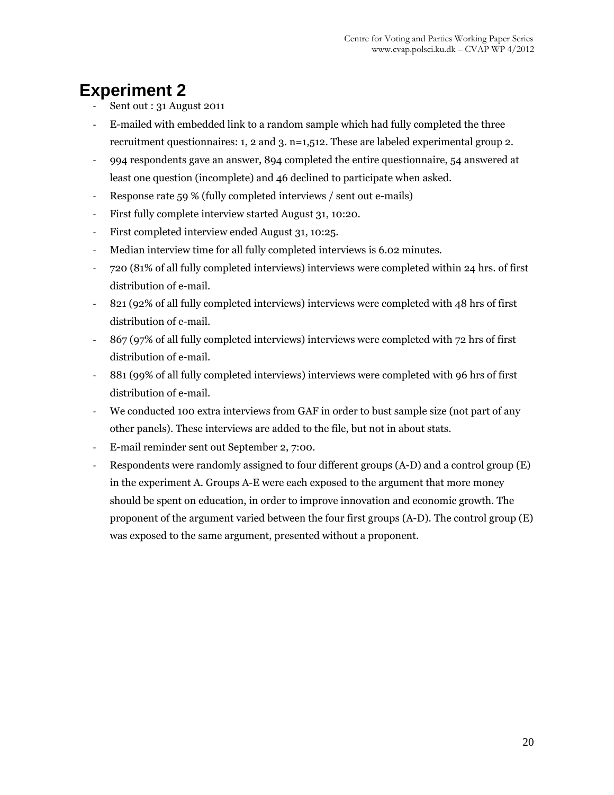## **Experiment 2**

- ‐ Sent out : 31 August 2011
- ‐ E-mailed with embedded link to a random sample which had fully completed the three recruitment questionnaires: 1, 2 and 3. n=1,512. These are labeled experimental group 2.
- ‐ 994 respondents gave an answer, 894 completed the entire questionnaire, 54 answered at least one question (incomplete) and 46 declined to participate when asked.
- ‐ Response rate 59 % (fully completed interviews / sent out e-mails)
- ‐ First fully complete interview started August 31, 10:20.
- ‐ First completed interview ended August 31, 10:25.
- ‐ Median interview time for all fully completed interviews is 6.02 minutes.
- ‐ 720 (81% of all fully completed interviews) interviews were completed within 24 hrs. of first distribution of e-mail.
- ‐ 821 (92% of all fully completed interviews) interviews were completed with 48 hrs of first distribution of e-mail.
- ‐ 867 (97% of all fully completed interviews) interviews were completed with 72 hrs of first distribution of e-mail.
- ‐ 881 (99% of all fully completed interviews) interviews were completed with 96 hrs of first distribution of e-mail.
- ‐ We conducted 100 extra interviews from GAF in order to bust sample size (not part of any other panels). These interviews are added to the file, but not in about stats.
- ‐ E-mail reminder sent out September 2, 7:00.
- ‐ Respondents were randomly assigned to four different groups (A-D) and a control group (E) in the experiment A. Groups A-E were each exposed to the argument that more money should be spent on education, in order to improve innovation and economic growth. The proponent of the argument varied between the four first groups (A-D). The control group (E) was exposed to the same argument, presented without a proponent.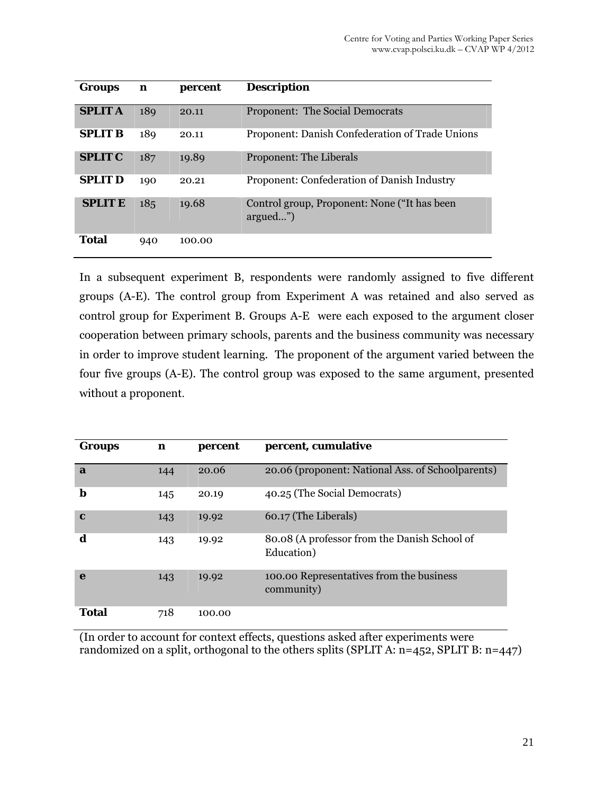| <b>Groups</b>  | n   | percent | <b>Description</b>                                       |
|----------------|-----|---------|----------------------------------------------------------|
| <b>SPLIT A</b> | 189 | 20.11   | Proponent: The Social Democrats                          |
| <b>SPLIT B</b> | 189 | 20.11   | Proponent: Danish Confederation of Trade Unions          |
| <b>SPLIT C</b> | 187 | 19.89   | <b>Proponent: The Liberals</b>                           |
| <b>SPLIT D</b> | 190 | 20.21   | Proponent: Confederation of Danish Industry              |
| <b>SPLIT E</b> | 185 | 19.68   | Control group, Proponent: None ("It has been<br>argued") |
| <b>Total</b>   | 940 | 100.00  |                                                          |

In a subsequent experiment B, respondents were randomly assigned to five different groups (A-E). The control group from Experiment A was retained and also served as control group for Experiment B. Groups A-E were each exposed to the argument closer cooperation between primary schools, parents and the business community was necessary in order to improve student learning. The proponent of the argument varied between the four five groups (A-E). The control group was exposed to the same argument, presented without a proponent.

| Groups       | n   | percent | percent, cumulative                                        |
|--------------|-----|---------|------------------------------------------------------------|
| $\mathbf{a}$ | 144 | 20.06   | 20.06 (proponent: National Ass. of Schoolparents)          |
| b            | 145 | 20.19   | 40.25 (The Social Democrats)                               |
| $\mathbf c$  | 143 | 19.92   | 60.17 (The Liberals)                                       |
| d            | 143 | 19.92   | 80.08 (A professor from the Danish School of<br>Education) |
| e            | 143 | 19.92   | 100.00 Representatives from the business<br>community)     |
| <b>Total</b> | 718 | 100.00  |                                                            |

(In order to account for context effects, questions asked after experiments were randomized on a split, orthogonal to the others splits (SPLIT A: n=452, SPLIT B: n=447)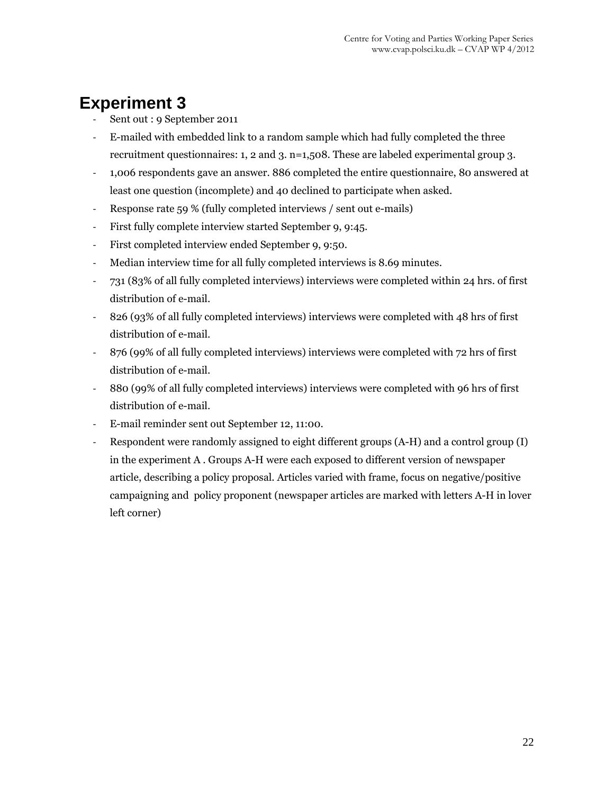## **Experiment 3**

- ‐ Sent out : 9 September 2011
- ‐ E-mailed with embedded link to a random sample which had fully completed the three recruitment questionnaires: 1, 2 and 3. n=1,508. These are labeled experimental group 3.
- ‐ 1,006 respondents gave an answer. 886 completed the entire questionnaire, 80 answered at least one question (incomplete) and 40 declined to participate when asked.
- ‐ Response rate 59 % (fully completed interviews / sent out e-mails)
- ‐ First fully complete interview started September 9, 9:45.
- ‐ First completed interview ended September 9, 9:50.
- ‐ Median interview time for all fully completed interviews is 8.69 minutes.
- ‐ 731 (83% of all fully completed interviews) interviews were completed within 24 hrs. of first distribution of e-mail.
- ‐ 826 (93% of all fully completed interviews) interviews were completed with 48 hrs of first distribution of e-mail.
- ‐ 876 (99% of all fully completed interviews) interviews were completed with 72 hrs of first distribution of e-mail.
- ‐ 880 (99% of all fully completed interviews) interviews were completed with 96 hrs of first distribution of e-mail.
- ‐ E-mail reminder sent out September 12, 11:00.
- ‐ Respondent were randomly assigned to eight different groups (A-H) and a control group (I) in the experiment A . Groups A-H were each exposed to different version of newspaper article, describing a policy proposal. Articles varied with frame, focus on negative/positive campaigning and policy proponent (newspaper articles are marked with letters A-H in lover left corner)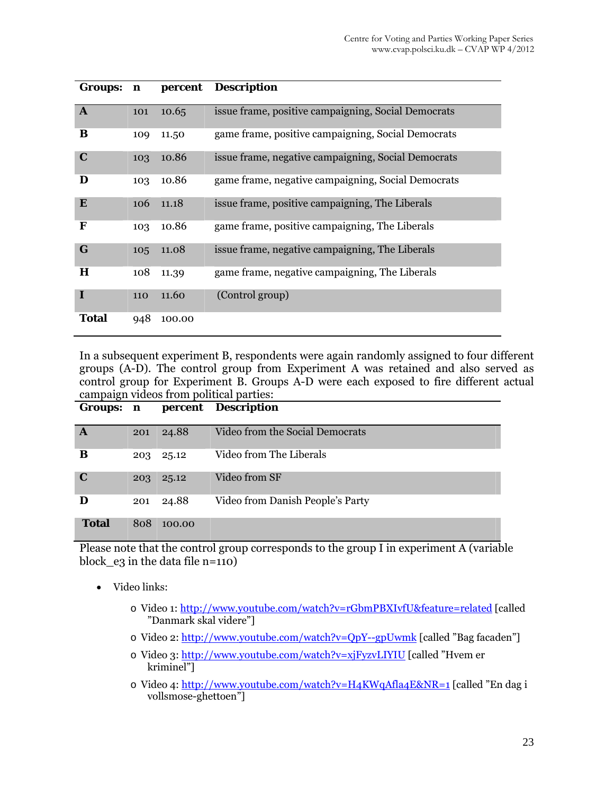| Groups: n    |     | percent | <b>Description</b>                                  |
|--------------|-----|---------|-----------------------------------------------------|
| $\mathbf{A}$ | 101 | 10.65   | issue frame, positive campaigning, Social Democrats |
| B            | 109 | 11.50   | game frame, positive campaigning, Social Democrats  |
| $\mathbf C$  | 103 | 10.86   | issue frame, negative campaigning, Social Democrats |
| D            | 103 | 10.86   | game frame, negative campaigning, Social Democrats  |
| E            | 106 | 11.18   | issue frame, positive campaigning, The Liberals     |
| F            | 103 | 10.86   | game frame, positive campaigning, The Liberals      |
| G            | 105 | 11.08   | issue frame, negative campaigning, The Liberals     |
| $\bf H$      | 108 | 11.39   | game frame, negative campaigning, The Liberals      |
| $\bf{I}$     | 110 | 11.60   | (Control group)                                     |
| Total        | 948 | 100.00  |                                                     |

In a subsequent experiment B, respondents were again randomly assigned to four different groups (A-D). The control group from Experiment A was retained and also served as control group for Experiment B. Groups A-D were each exposed to fire different actual campaign videos from political parties:

| Groups: n    |     |           | percent Description              |
|--------------|-----|-----------|----------------------------------|
| A            | 201 | 24.88     | Video from the Social Democrats  |
| B            |     | 203 25.12 | Video from The Liberals          |
| $\mathbf C$  | 203 | 25.12     | Video from SF                    |
| D            | 201 | 24.88     | Video from Danish People's Party |
| <b>Total</b> | 808 | 100.00    |                                  |

Please note that the control group corresponds to the group I in experiment A (variable block\_e3 in the data file n=110)

- Video links:
	- o Video 1: http://www.youtube.com/watch?v=rGbmPBXIvfU&feature=related [called "Danmark skal videre"]
	- o Video 2: http://www.youtube.com/watch?v=QpY--gpUwmk [called "Bag facaden"]
	- o Video 3: http://www.youtube.com/watch?v=xjFyzvLIYIU [called "Hvem er kriminel"]
	- o Video 4: http://www.youtube.com/watch?v=H4KWqAfla4E&NR=1 [called "En dag i vollsmose-ghettoen"]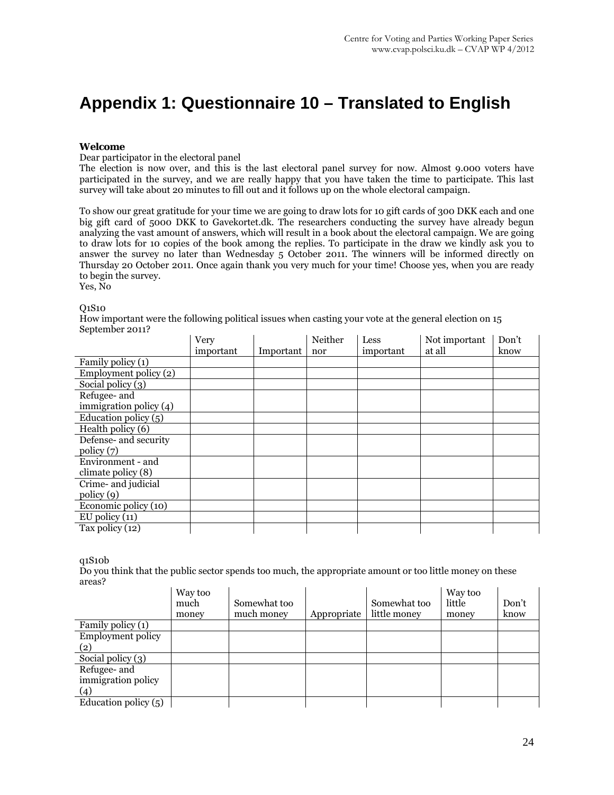## **Appendix 1: Questionnaire 10 – Translated to English**

#### **Welcome**

Dear participator in the electoral panel

The election is now over, and this is the last electoral panel survey for now. Almost 9.000 voters have participated in the survey, and we are really happy that you have taken the time to participate. This last survey will take about 20 minutes to fill out and it follows up on the whole electoral campaign.

To show our great gratitude for your time we are going to draw lots for 10 gift cards of 300 DKK each and one big gift card of 5000 DKK to Gavekortet.dk. The researchers conducting the survey have already begun analyzing the vast amount of answers, which will result in a book about the electoral campaign. We are going to draw lots for 10 copies of the book among the replies. To participate in the draw we kindly ask you to answer the survey no later than Wednesday 5 October 2011. The winners will be informed directly on Thursday 20 October 2011. Once again thank you very much for your time! Choose yes, when you are ready to begin the survey.

Yes, No

#### Q1S10

How important were the following political issues when casting your vote at the general election on 15 September 2011?

|                                   | Very      |           | Neither | Less      | Not important | Don't |
|-----------------------------------|-----------|-----------|---------|-----------|---------------|-------|
|                                   | important | Important | nor     | important | at all        | know  |
| Family policy (1)                 |           |           |         |           |               |       |
| Employment policy (2)             |           |           |         |           |               |       |
| Social policy $(3)$               |           |           |         |           |               |       |
| Refugee- and                      |           |           |         |           |               |       |
| immigration policy $(4)$          |           |           |         |           |               |       |
| Education policy $(5)$            |           |           |         |           |               |       |
| Health policy (6)                 |           |           |         |           |               |       |
| Defense- and security             |           |           |         |           |               |       |
| policy (7)                        |           |           |         |           |               |       |
| Environment - and                 |           |           |         |           |               |       |
| climate policy $(8)$              |           |           |         |           |               |       |
| Crime- and judicial               |           |           |         |           |               |       |
| $\text{policy}(9)$                |           |           |         |           |               |       |
| Economic policy $\overline{(10)}$ |           |           |         |           |               |       |
| $EU$ policy $(11)$                |           |           |         |           |               |       |
| Tax policy (12)                   |           |           |         |           |               |       |

q1S10b

Do you think that the public sector spends too much, the appropriate amount or too little money on these areas?

|                          | Way too<br>much<br>money | Somewhat too<br>much money | Appropriate | Somewhat too<br>little money | Way too<br>little<br>money | Don't<br>know |
|--------------------------|--------------------------|----------------------------|-------------|------------------------------|----------------------------|---------------|
| Family policy (1)        |                          |                            |             |                              |                            |               |
| <b>Employment policy</b> |                          |                            |             |                              |                            |               |
| (2)                      |                          |                            |             |                              |                            |               |
| Social policy $(3)$      |                          |                            |             |                              |                            |               |
| Refugee- and             |                          |                            |             |                              |                            |               |
| immigration policy       |                          |                            |             |                              |                            |               |
| (4)                      |                          |                            |             |                              |                            |               |
| Education policy $(5)$   |                          |                            |             |                              |                            |               |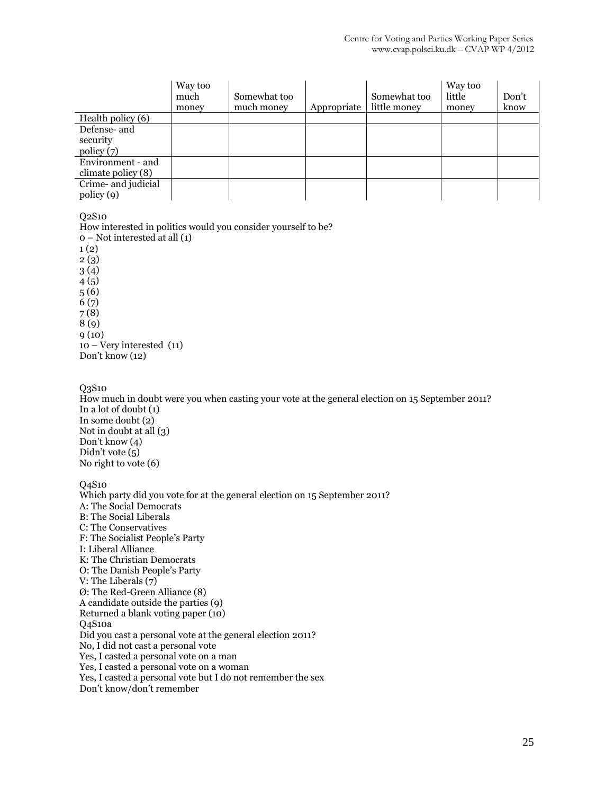|                                           | Way too<br>much<br>money | Somewhat too<br>much money | Appropriate | Somewhat too<br>little money | Way too<br>little<br>money | Don't<br>know |
|-------------------------------------------|--------------------------|----------------------------|-------------|------------------------------|----------------------------|---------------|
| Health policy (6)                         |                          |                            |             |                              |                            |               |
| Defense- and<br>security<br>policy (7)    |                          |                            |             |                              |                            |               |
| Environment - and<br>climate policy $(8)$ |                          |                            |             |                              |                            |               |
| Crime- and judicial<br>policy (9)         |                          |                            |             |                              |                            |               |

Q2S10

How interested in politics would you consider yourself to be? 0 – Not interested at all (1)  $1(2)$ 2 (3) 3 (4) 4 (5) 5 (6) 6 (7) 7 (8) 8 (9) 9 (10) 10 – Very interested (11) Don't know (12)

Q3S10

How much in doubt were you when casting your vote at the general election on 15 September 2011? In a lot of doubt (1) In some doubt (2) Not in doubt at all (3) Don't know (4) Didn't vote (5) No right to vote (6)

Q4S10

Which party did you vote for at the general election on 15 September 2011? A: The Social Democrats B: The Social Liberals C: The Conservatives F: The Socialist People's Party I: Liberal Alliance K: The Christian Democrats O: The Danish People's Party V: The Liberals (7) Ø: The Red-Green Alliance (8) A candidate outside the parties (9) Returned a blank voting paper (10) Q4S10a Did you cast a personal vote at the general election 2011? No, I did not cast a personal vote Yes, I casted a personal vote on a man Yes, I casted a personal vote on a woman Yes, I casted a personal vote but I do not remember the sex Don't know/don't remember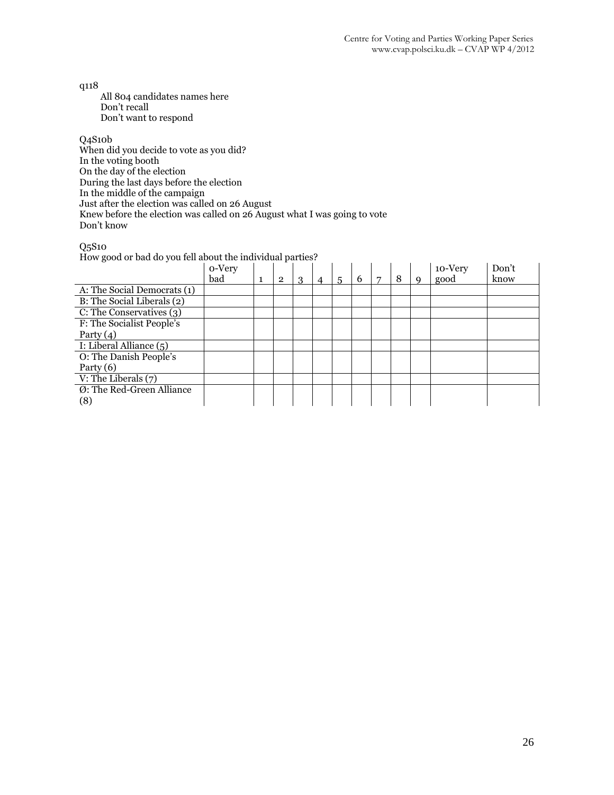q118

 All 804 candidates names here Don't recall Don't want to respond

#### Q4S10b

When did you decide to vote as you did? In the voting booth On the day of the election During the last days before the election In the middle of the campaign Just after the election was called on 26 August Knew before the election was called on 26 August what I was going to vote Don't know

#### Q5S10

How good or bad do you fell about the individual parties?

|                                  | o-Very<br>bad | 1 | $\overline{2}$ | 3 | 4 | 5 | 6 | 8 | a | 10-Very<br>good | Don't<br>know |
|----------------------------------|---------------|---|----------------|---|---|---|---|---|---|-----------------|---------------|
| A: The Social Democrats (1)      |               |   |                |   |   |   |   |   |   |                 |               |
| B: The Social Liberals (2)       |               |   |                |   |   |   |   |   |   |                 |               |
| C: The Conservatives (3)         |               |   |                |   |   |   |   |   |   |                 |               |
| F: The Socialist People's        |               |   |                |   |   |   |   |   |   |                 |               |
| Party $(4)$                      |               |   |                |   |   |   |   |   |   |                 |               |
| I: Liberal Alliance (5)          |               |   |                |   |   |   |   |   |   |                 |               |
| O: The Danish People's           |               |   |                |   |   |   |   |   |   |                 |               |
| Party $(6)$                      |               |   |                |   |   |   |   |   |   |                 |               |
| V: The Liberals $(7)$            |               |   |                |   |   |   |   |   |   |                 |               |
| Ø: The Red-Green Alliance<br>(8) |               |   |                |   |   |   |   |   |   |                 |               |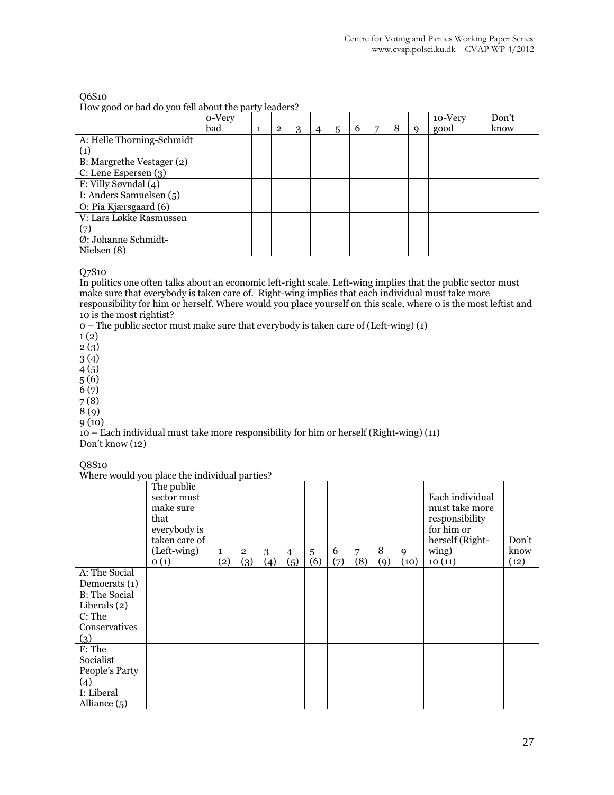#### Q6S10 How good or bad do you fell about the party leaders?

|                           | o-Very<br>bad | $\overline{2}$ | 3 | $\overline{4}$ | 5 | 6 | 7 | 8 | Q | 10-Very<br>good | Don't<br>know |
|---------------------------|---------------|----------------|---|----------------|---|---|---|---|---|-----------------|---------------|
| A: Helle Thorning-Schmidt |               |                |   |                |   |   |   |   |   |                 |               |
| (1)                       |               |                |   |                |   |   |   |   |   |                 |               |
| B: Margrethe Vestager (2) |               |                |   |                |   |   |   |   |   |                 |               |
| C: Lene Espersen (3)      |               |                |   |                |   |   |   |   |   |                 |               |
| F: Villy Søvndal (4)      |               |                |   |                |   |   |   |   |   |                 |               |
| I: Anders Samuelsen (5)   |               |                |   |                |   |   |   |   |   |                 |               |
| O: Pia Kjærsgaard (6)     |               |                |   |                |   |   |   |   |   |                 |               |
| V: Lars Løkke Rasmussen   |               |                |   |                |   |   |   |   |   |                 |               |
| (7)                       |               |                |   |                |   |   |   |   |   |                 |               |
| Ø: Johanne Schmidt-       |               |                |   |                |   |   |   |   |   |                 |               |
| Nielsen $(8)$             |               |                |   |                |   |   |   |   |   |                 |               |

#### Q7S10

In politics one often talks about an economic left-right scale. Left-wing implies that the public sector must make sure that everybody is taken care of. Right-wing implies that each individual must take more responsibility for him or herself. Where would you place yourself on this scale, where 0 is the most leftist and 10 is the most rightist?

0 – The public sector must make sure that everybody is taken care of (Left-wing) (1)

1 (2)

2 (3)

3 (4)

4 (5)

5 (6) 6 (7)

7 (8)

8 (9)

9 (10)

10 – Each individual must take more responsibility for him or herself (Right-wing) (11) Don't know (12)

Q8S10

Where would you place the individual parties?

|                      | The public<br>sector must<br>make sure<br>that<br>everybody is<br>taken care of<br>(Left-wing)<br>0(1) | $\mathbf{1}$<br>$\left( 2\right)$ | $\overline{2}$<br>(3) | 3<br>(4) | $\overline{4}$<br>(5) | 5<br>(6) | 6<br>(7) | 7<br>(8) | 8<br>(9) | 9<br>(10) | Each individual<br>must take more<br>responsibility<br>for him or<br>herself (Right-<br>wing)<br>10(11) | Don't<br>know<br>(12) |
|----------------------|--------------------------------------------------------------------------------------------------------|-----------------------------------|-----------------------|----------|-----------------------|----------|----------|----------|----------|-----------|---------------------------------------------------------------------------------------------------------|-----------------------|
| A: The Social        |                                                                                                        |                                   |                       |          |                       |          |          |          |          |           |                                                                                                         |                       |
| Democrats (1)        |                                                                                                        |                                   |                       |          |                       |          |          |          |          |           |                                                                                                         |                       |
| <b>B:</b> The Social |                                                                                                        |                                   |                       |          |                       |          |          |          |          |           |                                                                                                         |                       |
| Liberals $(2)$       |                                                                                                        |                                   |                       |          |                       |          |          |          |          |           |                                                                                                         |                       |
| C: The               |                                                                                                        |                                   |                       |          |                       |          |          |          |          |           |                                                                                                         |                       |
| Conservatives        |                                                                                                        |                                   |                       |          |                       |          |          |          |          |           |                                                                                                         |                       |
| (3)                  |                                                                                                        |                                   |                       |          |                       |          |          |          |          |           |                                                                                                         |                       |
| F: The               |                                                                                                        |                                   |                       |          |                       |          |          |          |          |           |                                                                                                         |                       |
| Socialist            |                                                                                                        |                                   |                       |          |                       |          |          |          |          |           |                                                                                                         |                       |
| People's Party       |                                                                                                        |                                   |                       |          |                       |          |          |          |          |           |                                                                                                         |                       |
| (4)                  |                                                                                                        |                                   |                       |          |                       |          |          |          |          |           |                                                                                                         |                       |
| I: Liberal           |                                                                                                        |                                   |                       |          |                       |          |          |          |          |           |                                                                                                         |                       |
| Alliance $(5)$       |                                                                                                        |                                   |                       |          |                       |          |          |          |          |           |                                                                                                         |                       |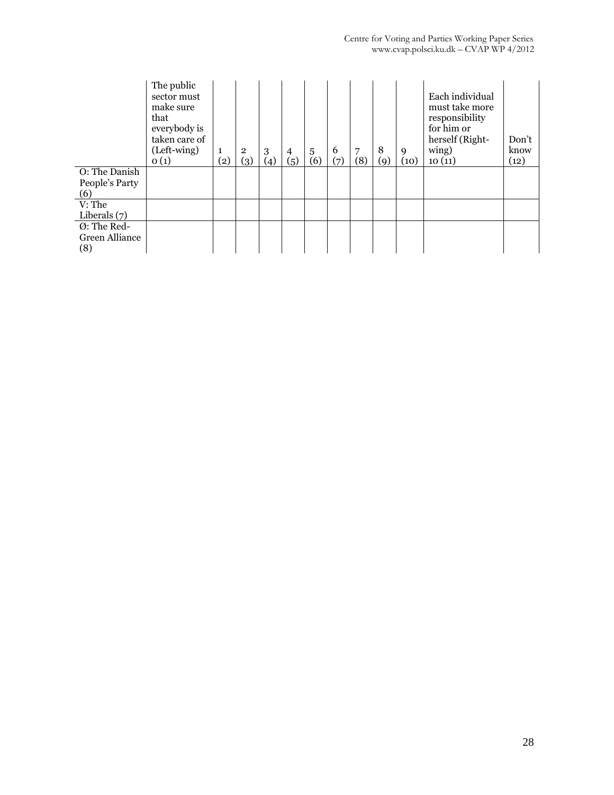|                                 | The public<br>sector must<br>make sure<br>that<br>everybody is<br>taken care of<br>(Left-wing)<br>O(1) | $\rm _{(2)}$ | $\overline{2}$<br>(3) | 3<br>(4) | $\overline{4}$<br>(5) | 5<br>(6) | 6<br>(7) | 7<br>(8) | 8<br>(9) | 9<br>(10) | Each individual<br>must take more<br>responsibility<br>for him or<br>herself (Right-<br>wing)<br>10(11) | Don't<br>know<br>(12) |
|---------------------------------|--------------------------------------------------------------------------------------------------------|--------------|-----------------------|----------|-----------------------|----------|----------|----------|----------|-----------|---------------------------------------------------------------------------------------------------------|-----------------------|
| O: The Danish<br>People's Party |                                                                                                        |              |                       |          |                       |          |          |          |          |           |                                                                                                         |                       |
| (6)                             |                                                                                                        |              |                       |          |                       |          |          |          |          |           |                                                                                                         |                       |
| V: The                          |                                                                                                        |              |                       |          |                       |          |          |          |          |           |                                                                                                         |                       |
| Liberals $(7)$                  |                                                                                                        |              |                       |          |                       |          |          |          |          |           |                                                                                                         |                       |
| Ø: The Red-                     |                                                                                                        |              |                       |          |                       |          |          |          |          |           |                                                                                                         |                       |
| <b>Green Alliance</b>           |                                                                                                        |              |                       |          |                       |          |          |          |          |           |                                                                                                         |                       |
| (8)                             |                                                                                                        |              |                       |          |                       |          |          |          |          |           |                                                                                                         |                       |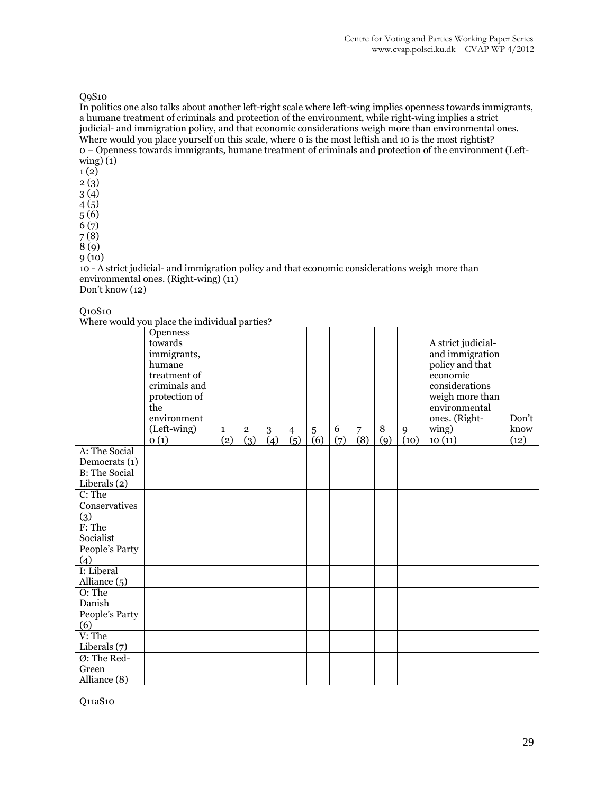#### Q9S10

In politics one also talks about another left-right scale where left-wing implies openness towards immigrants, a humane treatment of criminals and protection of the environment, while right-wing implies a strict judicial- and immigration policy, and that economic considerations weigh more than environmental ones. Where would you place yourself on this scale, where o is the most leftish and 10 is the most rightist? 0 – Openness towards immigrants, humane treatment of criminals and protection of the environment (Leftwing) (1)

- 1 (2)
- 2 (3)
- 3 (4)
- 4 (5)
- 5 (6) 6 (7)
- 7 (8)

8 (9)

9 (10)

10 - A strict judicial- and immigration policy and that economic considerations weigh more than environmental ones. (Right-wing) (11) Don't know (12)

#### Q10S10

Where would you place the individual parties?

|                      | mere would you place the marriaga parties.                                                                                                  |                     |                       |          |                       |                       |          |                       |               |           |                                                                                                                                                                |                       |
|----------------------|---------------------------------------------------------------------------------------------------------------------------------------------|---------------------|-----------------------|----------|-----------------------|-----------------------|----------|-----------------------|---------------|-----------|----------------------------------------------------------------------------------------------------------------------------------------------------------------|-----------------------|
|                      | Openness<br>towards<br>immigrants,<br>humane<br>treatment of<br>criminals and<br>protection of<br>the<br>environment<br>(Left-wing)<br>O(1) | $\mathbf{1}$<br>(2) | $\overline{2}$<br>(3) | 3<br>(4) | $\overline{4}$<br>(5) | $\overline{5}$<br>(6) | 6<br>(7) | $\overline{7}$<br>(8) | $\, 8$<br>(9) | 9<br>(10) | A strict judicial-<br>and immigration<br>policy and that<br>economic<br>considerations<br>weigh more than<br>environmental<br>ones. (Right-<br>wing)<br>10(11) | Don't<br>know<br>(12) |
| A: The Social        |                                                                                                                                             |                     |                       |          |                       |                       |          |                       |               |           |                                                                                                                                                                |                       |
| Democrats (1)        |                                                                                                                                             |                     |                       |          |                       |                       |          |                       |               |           |                                                                                                                                                                |                       |
| <b>B:</b> The Social |                                                                                                                                             |                     |                       |          |                       |                       |          |                       |               |           |                                                                                                                                                                |                       |
| Liberals (2)         |                                                                                                                                             |                     |                       |          |                       |                       |          |                       |               |           |                                                                                                                                                                |                       |
| C: The               |                                                                                                                                             |                     |                       |          |                       |                       |          |                       |               |           |                                                                                                                                                                |                       |
| Conservatives        |                                                                                                                                             |                     |                       |          |                       |                       |          |                       |               |           |                                                                                                                                                                |                       |
| (3)                  |                                                                                                                                             |                     |                       |          |                       |                       |          |                       |               |           |                                                                                                                                                                |                       |
| F: The               |                                                                                                                                             |                     |                       |          |                       |                       |          |                       |               |           |                                                                                                                                                                |                       |
| Socialist            |                                                                                                                                             |                     |                       |          |                       |                       |          |                       |               |           |                                                                                                                                                                |                       |
| People's Party       |                                                                                                                                             |                     |                       |          |                       |                       |          |                       |               |           |                                                                                                                                                                |                       |
| (4)                  |                                                                                                                                             |                     |                       |          |                       |                       |          |                       |               |           |                                                                                                                                                                |                       |
| I: Liberal           |                                                                                                                                             |                     |                       |          |                       |                       |          |                       |               |           |                                                                                                                                                                |                       |
| Alliance $(5)$       |                                                                                                                                             |                     |                       |          |                       |                       |          |                       |               |           |                                                                                                                                                                |                       |
| $0:$ The             |                                                                                                                                             |                     |                       |          |                       |                       |          |                       |               |           |                                                                                                                                                                |                       |
| Danish               |                                                                                                                                             |                     |                       |          |                       |                       |          |                       |               |           |                                                                                                                                                                |                       |
| People's Party       |                                                                                                                                             |                     |                       |          |                       |                       |          |                       |               |           |                                                                                                                                                                |                       |
| (6)                  |                                                                                                                                             |                     |                       |          |                       |                       |          |                       |               |           |                                                                                                                                                                |                       |
| $V:$ The             |                                                                                                                                             |                     |                       |          |                       |                       |          |                       |               |           |                                                                                                                                                                |                       |
| Liberals $(7)$       |                                                                                                                                             |                     |                       |          |                       |                       |          |                       |               |           |                                                                                                                                                                |                       |
| $Q$ : The Red-       |                                                                                                                                             |                     |                       |          |                       |                       |          |                       |               |           |                                                                                                                                                                |                       |
| Green                |                                                                                                                                             |                     |                       |          |                       |                       |          |                       |               |           |                                                                                                                                                                |                       |
| Alliance (8)         |                                                                                                                                             |                     |                       |          |                       |                       |          |                       |               |           |                                                                                                                                                                |                       |

Q11aS10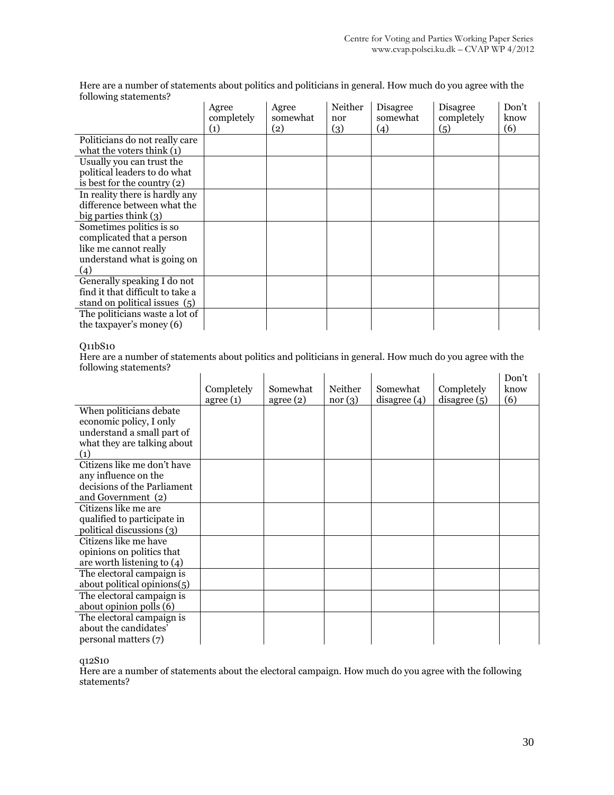Here are a number of statements about politics and politicians in general. How much do you agree with the following statements?

|                                  | Agree<br>completely<br>(1) | Agree<br>somewhat<br>(2) | Neither<br>nor<br>(3) | Disagree<br>somewhat<br>(4) | Disagree<br>completely<br>(5) | Don't<br>know<br>(6) |
|----------------------------------|----------------------------|--------------------------|-----------------------|-----------------------------|-------------------------------|----------------------|
| Politicians do not really care   |                            |                          |                       |                             |                               |                      |
| what the voters think $(1)$      |                            |                          |                       |                             |                               |                      |
| Usually you can trust the        |                            |                          |                       |                             |                               |                      |
| political leaders to do what     |                            |                          |                       |                             |                               |                      |
| is best for the country $(2)$    |                            |                          |                       |                             |                               |                      |
| In reality there is hardly any   |                            |                          |                       |                             |                               |                      |
| difference between what the      |                            |                          |                       |                             |                               |                      |
| big parties think $(3)$          |                            |                          |                       |                             |                               |                      |
| Sometimes politics is so         |                            |                          |                       |                             |                               |                      |
| complicated that a person        |                            |                          |                       |                             |                               |                      |
| like me cannot really            |                            |                          |                       |                             |                               |                      |
| understand what is going on      |                            |                          |                       |                             |                               |                      |
| (4)                              |                            |                          |                       |                             |                               |                      |
| Generally speaking I do not      |                            |                          |                       |                             |                               |                      |
| find it that difficult to take a |                            |                          |                       |                             |                               |                      |
| stand on political issues (5)    |                            |                          |                       |                             |                               |                      |
| The politicians waste a lot of   |                            |                          |                       |                             |                               |                      |
| the taxpayer's money (6)         |                            |                          |                       |                             |                               |                      |

#### Q11bS10

Here are a number of statements about politics and politicians in general. How much do you agree with the following statements?  $\mathcal{L}$  $\mathcal{L}^{\mathcal{L}}$  $\hat{A}$  $\mathbf{r}$  $\frac{1}{2}$  $\mathbf{r}$ 

|                                                                                                                        | Completely<br>agree(1) | Somewhat<br>agree(2) | Neither<br>nor(3) | Somewhat<br>disagree (4) | Completely<br>disagree (5) | Don't<br>know<br>(6) |
|------------------------------------------------------------------------------------------------------------------------|------------------------|----------------------|-------------------|--------------------------|----------------------------|----------------------|
| When politicians debate<br>economic policy, I only<br>understand a small part of<br>what they are talking about<br>(1) |                        |                      |                   |                          |                            |                      |
| Citizens like me don't have<br>any influence on the<br>decisions of the Parliament<br>and Government (2)               |                        |                      |                   |                          |                            |                      |
| Citizens like me are<br>qualified to participate in<br>political discussions (3)                                       |                        |                      |                   |                          |                            |                      |
| Citizens like me have<br>opinions on politics that<br>are worth listening to $(4)$                                     |                        |                      |                   |                          |                            |                      |
| The electoral campaign is<br>about political opinions(5)                                                               |                        |                      |                   |                          |                            |                      |
| The electoral campaign is<br>about opinion polls (6)                                                                   |                        |                      |                   |                          |                            |                      |
| The electoral campaign is<br>about the candidates'<br>personal matters (7)                                             |                        |                      |                   |                          |                            |                      |

q12S10

Here are a number of statements about the electoral campaign. How much do you agree with the following statements?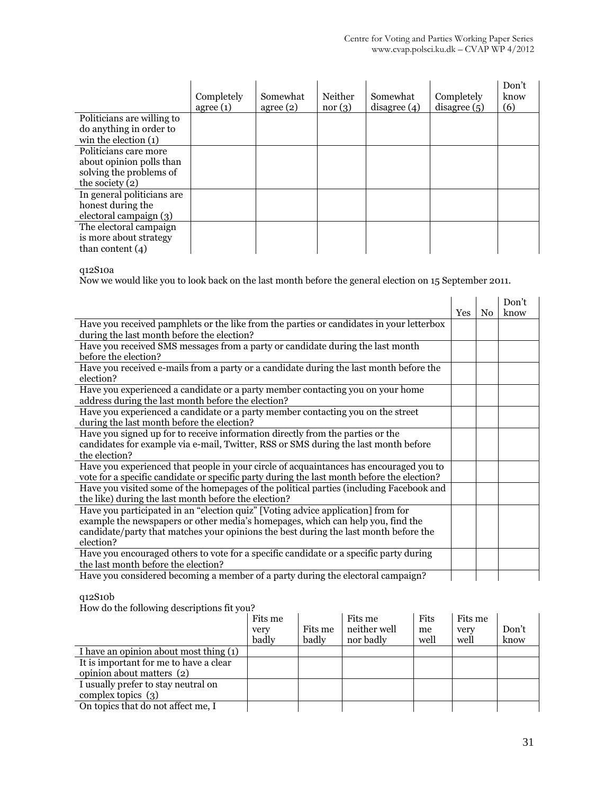|                                                                                                   | Completely<br>agree(1) | Somewhat<br>agree(2) | Neither<br>nor(3) | Somewhat<br>disagree (4) | Completely<br>disagree(5) | Don't<br>know<br>(6) |
|---------------------------------------------------------------------------------------------------|------------------------|----------------------|-------------------|--------------------------|---------------------------|----------------------|
| Politicians are willing to<br>do anything in order to<br>win the election $(1)$                   |                        |                      |                   |                          |                           |                      |
| Politicians care more<br>about opinion polls than<br>solving the problems of<br>the society $(2)$ |                        |                      |                   |                          |                           |                      |
| In general politicians are<br>honest during the<br>electoral campaign (3)                         |                        |                      |                   |                          |                           |                      |
| The electoral campaign<br>is more about strategy<br>than content $(4)$                            |                        |                      |                   |                          |                           |                      |

q12S10a

Now we would like you to look back on the last month before the general election on 15 September 2011.

|                                                                                            |     | N <sub>0</sub> | Don't<br>know |
|--------------------------------------------------------------------------------------------|-----|----------------|---------------|
| Have you received pamphlets or the like from the parties or candidates in your letterbox   | Yes |                |               |
| during the last month before the election?                                                 |     |                |               |
| Have you received SMS messages from a party or candidate during the last month             |     |                |               |
| before the election?                                                                       |     |                |               |
| Have you received e-mails from a party or a candidate during the last month before the     |     |                |               |
| election?                                                                                  |     |                |               |
| Have you experienced a candidate or a party member contacting you on your home             |     |                |               |
| address during the last month before the election?                                         |     |                |               |
| Have you experienced a candidate or a party member contacting you on the street            |     |                |               |
| during the last month before the election?                                                 |     |                |               |
| Have you signed up for to receive information directly from the parties or the             |     |                |               |
| candidates for example via e-mail, Twitter, RSS or SMS during the last month before        |     |                |               |
| the election?                                                                              |     |                |               |
| Have you experienced that people in your circle of acquaintances has encouraged you to     |     |                |               |
| vote for a specific candidate or specific party during the last month before the election? |     |                |               |
| Have you visited some of the homepages of the political parties (including Facebook and    |     |                |               |
| the like) during the last month before the election?                                       |     |                |               |
| Have you participated in an "election quiz" [Voting advice application] from for           |     |                |               |
| example the newspapers or other media's homepages, which can help you, find the            |     |                |               |
| candidate/party that matches your opinions the best during the last month before the       |     |                |               |
| election?                                                                                  |     |                |               |
| Have you encouraged others to vote for a specific candidate or a specific party during     |     |                |               |
| the last month before the election?                                                        |     |                |               |
| Have you considered becoming a member of a party during the electoral campaign?            |     |                |               |

q12S10b

How do the following descriptions fit you?

| $110$ as the following accelerations in four                        | Fits me<br>very<br>badly | Fits me<br>badly | Fits me<br>neither well<br>nor badly | Fits<br>me<br>well | Fits me<br>very<br>well | Don't<br>know |
|---------------------------------------------------------------------|--------------------------|------------------|--------------------------------------|--------------------|-------------------------|---------------|
| I have an opinion about most thing (1)                              |                          |                  |                                      |                    |                         |               |
| It is important for me to have a clear<br>opinion about matters (2) |                          |                  |                                      |                    |                         |               |
| I usually prefer to stay neutral on                                 |                          |                  |                                      |                    |                         |               |
| complex topics $(3)$                                                |                          |                  |                                      |                    |                         |               |
| On topics that do not affect me, I                                  |                          |                  |                                      |                    |                         |               |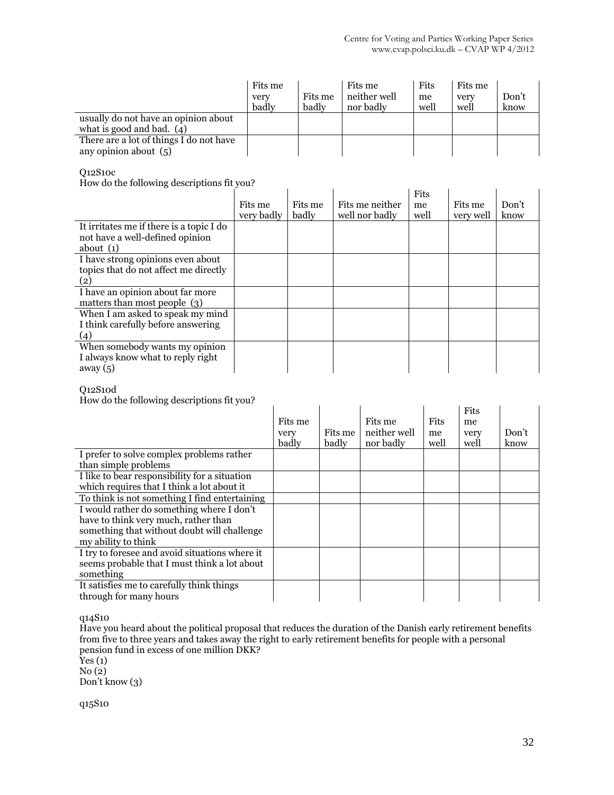|                                         | Fits me<br>very<br>badly | Fits me<br>badly | Fits me<br>neither well<br>nor badly | Fits<br>me<br>well | Fits me<br>very<br>well | Don't<br>know |
|-----------------------------------------|--------------------------|------------------|--------------------------------------|--------------------|-------------------------|---------------|
| usually do not have an opinion about    |                          |                  |                                      |                    |                         |               |
| what is good and bad. $(4)$             |                          |                  |                                      |                    |                         |               |
| There are a lot of things I do not have |                          |                  |                                      |                    |                         |               |
| any opinion about $(5)$                 |                          |                  |                                      |                    |                         |               |

#### Q12S10c

How do the following descriptions fit you?

| How do the following descriptions fit you?                                                 |                       |                  |                                   |                    |                      |               |
|--------------------------------------------------------------------------------------------|-----------------------|------------------|-----------------------------------|--------------------|----------------------|---------------|
|                                                                                            | Fits me<br>very badly | Fits me<br>badly | Fits me neither<br>well nor badly | Fits<br>me<br>well | Fits me<br>very well | Don't<br>know |
| It irritates me if there is a topic I do<br>not have a well-defined opinion<br>about $(1)$ |                       |                  |                                   |                    |                      |               |
| I have strong opinions even about<br>topics that do not affect me directly<br>(2)          |                       |                  |                                   |                    |                      |               |
| I have an opinion about far more<br>matters than most people (3)                           |                       |                  |                                   |                    |                      |               |
| When I am asked to speak my mind<br>I think carefully before answering<br>(4)              |                       |                  |                                   |                    |                      |               |
| When somebody wants my opinion<br>I always know what to reply right<br>away $(5)$          |                       |                  |                                   |                    |                      |               |

#### Q12S10d

How do the following descriptions fit you?

| How do the following descriptions in you?                                                                                                               |                          |                  |                                      |                    |                            |               |
|---------------------------------------------------------------------------------------------------------------------------------------------------------|--------------------------|------------------|--------------------------------------|--------------------|----------------------------|---------------|
|                                                                                                                                                         | Fits me<br>very<br>badly | Fits me<br>badly | Fits me<br>neither well<br>nor badly | Fits<br>me<br>well | Fits<br>me<br>very<br>well | Don't<br>know |
| I prefer to solve complex problems rather<br>than simple problems                                                                                       |                          |                  |                                      |                    |                            |               |
| I like to bear responsibility for a situation<br>which requires that I think a lot about it                                                             |                          |                  |                                      |                    |                            |               |
| To think is not something I find entertaining                                                                                                           |                          |                  |                                      |                    |                            |               |
| I would rather do something where I don't<br>have to think very much, rather than<br>something that without doubt will challenge<br>my ability to think |                          |                  |                                      |                    |                            |               |
| I try to foresee and avoid situations where it<br>seems probable that I must think a lot about<br>something                                             |                          |                  |                                      |                    |                            |               |
| It satisfies me to carefully think things<br>through for many hours                                                                                     |                          |                  |                                      |                    |                            |               |

q14S10

Have you heard about the political proposal that reduces the duration of the Danish early retirement benefits from five to three years and takes away the right to early retirement benefits for people with a personal pension fund in excess of one million DKK?

 $Yes(1)$ No (2)

Don't know (3)

q15S10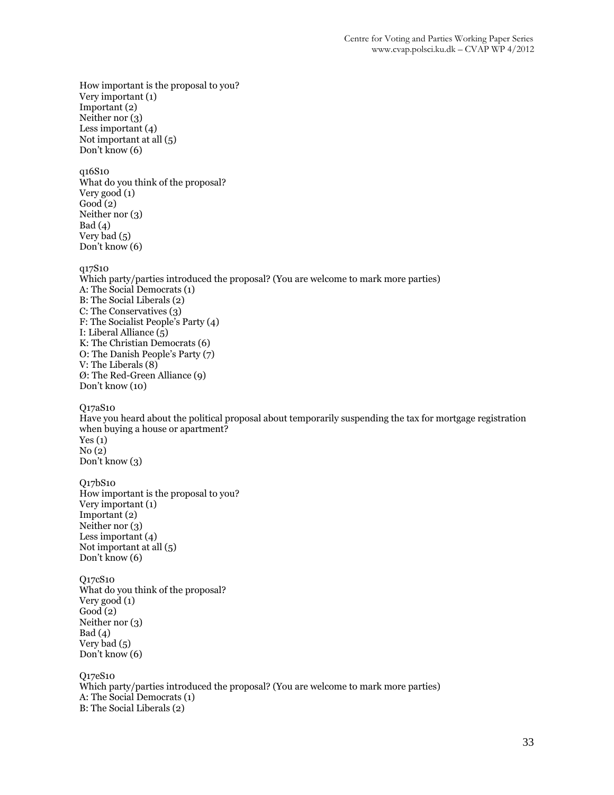How important is the proposal to you? Very important (1) Important (2) Neither nor (3) Less important (4) Not important at all (5) Don't know (6) q16S10 What do you think of the proposal? Very good (1)  $Good(2)$ Neither nor (3)  $Bad (4)$ Very bad (5) Don't know (6) q17S10 Which party/parties introduced the proposal? (You are welcome to mark more parties) A: The Social Democrats (1) B: The Social Liberals (2) C: The Conservatives (3) F: The Socialist People's Party (4) I: Liberal Alliance  $\overline{(5)}$ K: The Christian Democrats (6) O: The Danish People's Party (7) V: The Liberals (8) Ø: The Red-Green Alliance (9) Don't know (10) Q17aS10 Have you heard about the political proposal about temporarily suspending the tax for mortgage registration when buying a house or apartment?  $Yes(1)$ No (2) Don't know (3) Q17bS10 How important is the proposal to you? Very important (1) Important (2) Neither nor (3) Less important (4) Not important at all (5) Don't know (6) Q17cS10 What do you think of the proposal? Very good (1)  $Good(2)$ Neither nor (3)  $Bad (4)$ Very bad (5) Don't know (6) Q17eS10 Which party/parties introduced the proposal? (You are welcome to mark more parties) A: The Social Democrats (1) B: The Social Liberals (2)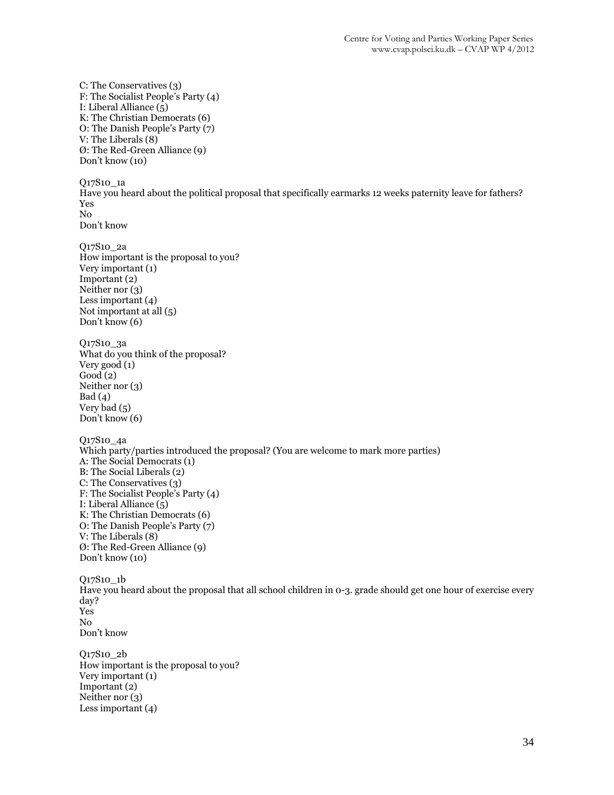C: The Conservatives (3) F: The Socialist People's Party (4) I: Liberal Alliance (5) K: The Christian Democrats (6) O: The Danish People's Party (7) V: The Liberals (8) Ø: The Red-Green Alliance (9) Don't know (10) Q17S10\_1a Have you heard about the political proposal that specifically earmarks 12 weeks paternity leave for fathers? Yes No Don't know Q17S10\_2a How important is the proposal to you? Very important (1) Important (2) Neither nor (3) Less important (4) Not important at all (5) Don't know (6) Q17S10\_3a What do you think of the proposal? Very good (1) Good (2) Neither nor (3)  $Bad (4)$ Very bad (5) Don't know (6) Q17S10\_4a Which party/parties introduced the proposal? (You are welcome to mark more parties) A: The Social Democrats (1) B: The Social Liberals (2) C: The Conservatives (3) F: The Socialist People's Party (4) I: Liberal Alliance (5) K: The Christian Democrats (6) O: The Danish People's Party (7) V: The Liberals (8) Ø: The Red-Green Alliance (9) Don't know (10) Q17S10\_1b Have you heard about the proposal that all school children in 0-3. grade should get one hour of exercise every day? Yes No Don't know Q17S10\_2b How important is the proposal to you? Very important (1) Important (2) Neither nor (3) Less important (4)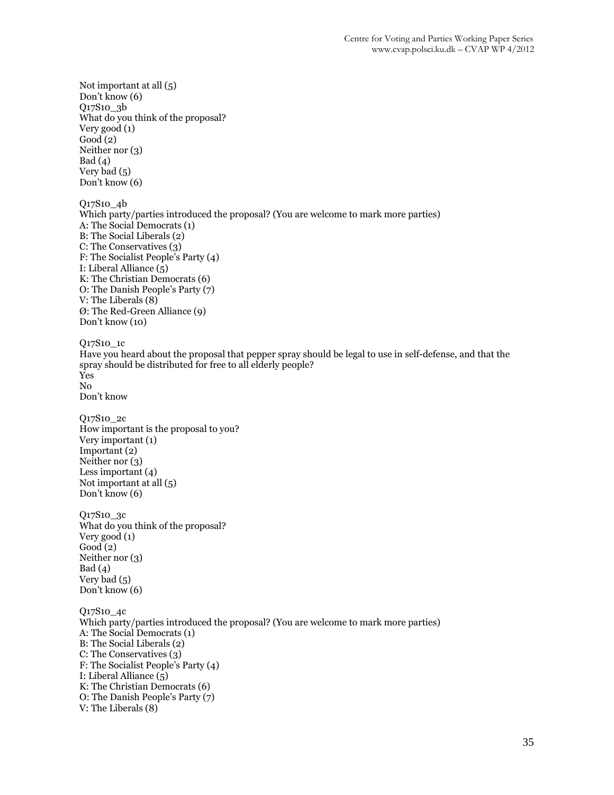Not important at all (5) Don't know (6) Q17S10\_3b What do you think of the proposal? Very good (1)  $Good(2)$ Neither nor (3)  $Bad (4)$ Very bad (5) Don't know (6) Q17S10\_4b Which party/parties introduced the proposal? (You are welcome to mark more parties) A: The Social Democrats (1) B: The Social Liberals (2) C: The Conservatives (3) F: The Socialist People's Party (4) I: Liberal Alliance (5) K: The Christian Democrats (6) O: The Danish People's Party (7) V: The Liberals (8) Ø: The Red-Green Alliance (9) Don't know (10) Q17S10\_1c Have you heard about the proposal that pepper spray should be legal to use in self-defense, and that the spray should be distributed for free to all elderly people? Yes No Don't know Q17S10\_2c How important is the proposal to you? Very important (1) Important (2) Neither nor (3) Less important (4) Not important at all (5) Don't know (6) Q17S10\_3c What do you think of the proposal? Very good (1)  $Good(2)$ Neither nor (3) Bad (4) Very bad (5) Don't know (6) Q17S10\_4c Which party/parties introduced the proposal? (You are welcome to mark more parties) A: The Social Democrats (1) B: The Social Liberals (2) C: The Conservatives (3) F: The Socialist People's Party (4) I: Liberal Alliance (5) K: The Christian Democrats (6) O: The Danish People's Party (7) V: The Liberals (8)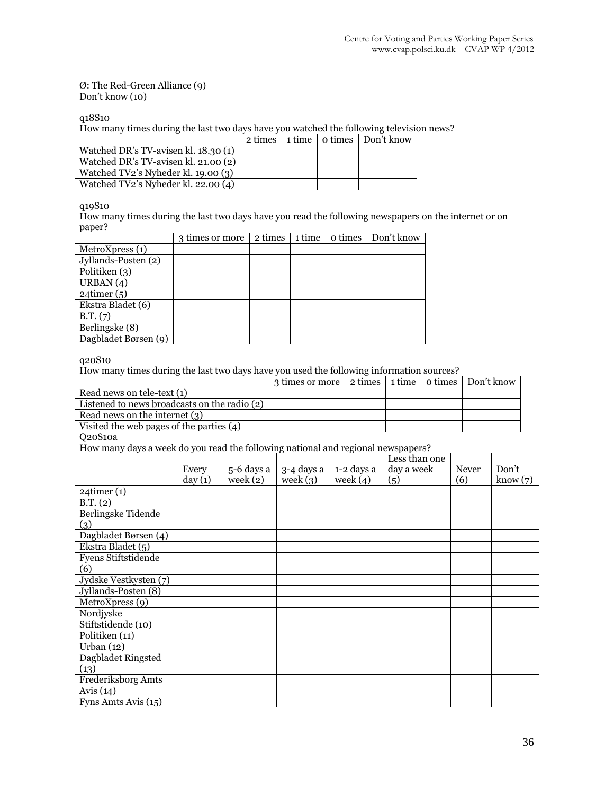#### Ø: The Red-Green Alliance (9) Don't know (10)

q18S10

How many times during the last two days have you watched the following television news?

|                                       |  | 2 times 1 time 1 o times 1 Don't know |
|---------------------------------------|--|---------------------------------------|
| Watched DR's TV-avisen kl. 18.30 (1)  |  |                                       |
| Watched DR's TV-avisen kl. $21.00(2)$ |  |                                       |
| Watched TV2's Nyheder kl. 19.00 (3)   |  |                                       |
| Watched TV2's Nyheder kl. 22.00 (4)   |  |                                       |

q19S10

How many times during the last two days have you read the following newspapers on the internet or on paper?

|                      | 3 times or more | 2 times | 1 time | o times | Don't know |
|----------------------|-----------------|---------|--------|---------|------------|
| MetroXpress (1)      |                 |         |        |         |            |
| Jyllands-Posten (2)  |                 |         |        |         |            |
| Politiken (3)        |                 |         |        |         |            |
| URBAN $(4)$          |                 |         |        |         |            |
| $24$ timer $(5)$     |                 |         |        |         |            |
| Ekstra Bladet (6)    |                 |         |        |         |            |
| B.T. (7)             |                 |         |        |         |            |
| Berlingske (8)       |                 |         |        |         |            |
| Dagbladet Børsen (9) |                 |         |        |         |            |

q20S10

How many times during the last two days have you used the following information sources?

|                                              | 3 times or more 2 times 1 time 0 times Don't know |  |  |
|----------------------------------------------|---------------------------------------------------|--|--|
| Read news on tele-text (1)                   |                                                   |  |  |
| Listened to news broadcasts on the radio (2) |                                                   |  |  |
| Read news on the internet (3)                |                                                   |  |  |
| Visited the web pages of the parties $(4)$   |                                                   |  |  |

Q20S10a

How many days a week do you read the following national and regional newspapers?

|                       | Every<br>day(1) | 5-6 days a<br>week $(2)$ | 3-4 days a<br>week $(3)$ | 1-2 days a<br>week $(4)$ | Less than one<br>day a week<br>(5) | <b>Never</b><br>(6) | Don't<br>know(7) |
|-----------------------|-----------------|--------------------------|--------------------------|--------------------------|------------------------------------|---------------------|------------------|
| $24$ timer $(1)$      |                 |                          |                          |                          |                                    |                     |                  |
| B.T. (2)              |                 |                          |                          |                          |                                    |                     |                  |
| Berlingske Tidende    |                 |                          |                          |                          |                                    |                     |                  |
| (3)                   |                 |                          |                          |                          |                                    |                     |                  |
| Dagbladet Børsen (4)  |                 |                          |                          |                          |                                    |                     |                  |
| Ekstra Bladet (5)     |                 |                          |                          |                          |                                    |                     |                  |
| Fyens Stiftstidende   |                 |                          |                          |                          |                                    |                     |                  |
| (6)                   |                 |                          |                          |                          |                                    |                     |                  |
| Jydske Vestkysten (7) |                 |                          |                          |                          |                                    |                     |                  |
| Jyllands-Posten (8)   |                 |                          |                          |                          |                                    |                     |                  |
| MetroXpress (9)       |                 |                          |                          |                          |                                    |                     |                  |
| Nordjyske             |                 |                          |                          |                          |                                    |                     |                  |
| Stiftstidende (10)    |                 |                          |                          |                          |                                    |                     |                  |
| Politiken (11)        |                 |                          |                          |                          |                                    |                     |                  |
| Urban $(12)$          |                 |                          |                          |                          |                                    |                     |                  |
| Dagbladet Ringsted    |                 |                          |                          |                          |                                    |                     |                  |
| (13)                  |                 |                          |                          |                          |                                    |                     |                  |
| Frederiksborg Amts    |                 |                          |                          |                          |                                    |                     |                  |
| Avis $(14)$           |                 |                          |                          |                          |                                    |                     |                  |
| Fyns Amts Avis (15)   |                 |                          |                          |                          |                                    |                     |                  |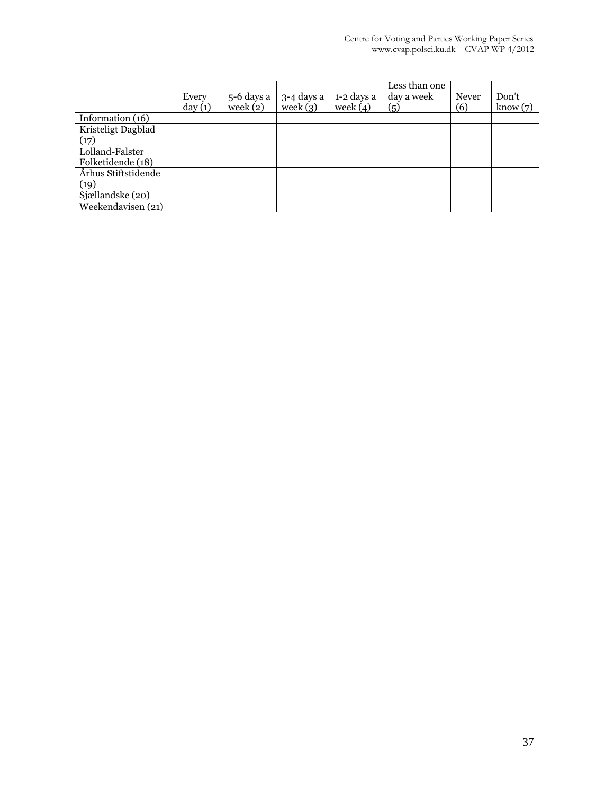|                     | Every<br>day(1) | 5-6 days a<br>week $(2)$ | $3-4$ days a<br>week $(3)$ | 1-2 days a<br>week $(4)$ | Less than one<br>day a week<br>(5) | Never<br>(6) | Don't<br>know(7) |
|---------------------|-----------------|--------------------------|----------------------------|--------------------------|------------------------------------|--------------|------------------|
| Information (16)    |                 |                          |                            |                          |                                    |              |                  |
| Kristeligt Dagblad  |                 |                          |                            |                          |                                    |              |                  |
| (17)                |                 |                          |                            |                          |                                    |              |                  |
| Lolland-Falster     |                 |                          |                            |                          |                                    |              |                  |
| Folketidende (18)   |                 |                          |                            |                          |                                    |              |                  |
| Århus Stiftstidende |                 |                          |                            |                          |                                    |              |                  |
| (19)                |                 |                          |                            |                          |                                    |              |                  |
| Sjællandske (20)    |                 |                          |                            |                          |                                    |              |                  |
| Weekendavisen (21)  |                 |                          |                            |                          |                                    |              |                  |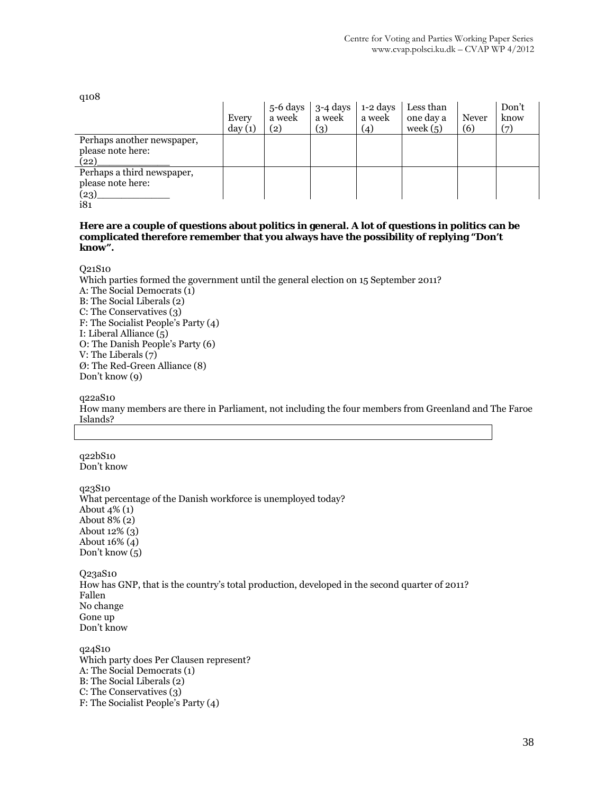q108

|                            | Every<br>day(1) | $5-6$ days<br>a week<br>(2) | 3-4 days<br>a week<br>(3) | 1-2 days<br>a week<br>(4) | Less than<br>one day a<br>week $(5)$ | <b>Never</b><br>(6) | Don't<br>know<br>(7) |
|----------------------------|-----------------|-----------------------------|---------------------------|---------------------------|--------------------------------------|---------------------|----------------------|
| Perhaps another newspaper, |                 |                             |                           |                           |                                      |                     |                      |
| please note here:          |                 |                             |                           |                           |                                      |                     |                      |
| (22)                       |                 |                             |                           |                           |                                      |                     |                      |
| Perhaps a third newspaper, |                 |                             |                           |                           |                                      |                     |                      |
| please note here:          |                 |                             |                           |                           |                                      |                     |                      |
| (23)                       |                 |                             |                           |                           |                                      |                     |                      |
| i81                        |                 |                             |                           |                           |                                      |                     |                      |

#### **Here are a couple of questions about politics in general. A lot of questions in politics can be complicated therefore remember that you always have the possibility of replying "Don't know".**

Q21S10

Which parties formed the government until the general election on 15 September 2011? A: The Social Democrats (1) B: The Social Liberals (2) C: The Conservatives (3) F: The Socialist People's Party (4) I: Liberal Alliance (5) O: The Danish People's Party (6) V: The Liberals (7) Ø: The Red-Green Alliance (8) Don't know (9)

q22aS10

How many members are there in Parliament, not including the four members from Greenland and The Faroe Islands?

q22bS10 Don't know

q23S10 What percentage of the Danish workforce is unemployed today? About  $4\%$  (1) About 8% (2) About 12% (3) About 16% (4) Don't know (5)

Q23aS10 How has GNP, that is the country's total production, developed in the second quarter of 2011? Fallen No change Gone up Don't know

q24S10 Which party does Per Clausen represent? A: The Social Democrats (1) B: The Social Liberals (2) C: The Conservatives (3) F: The Socialist People's Party (4)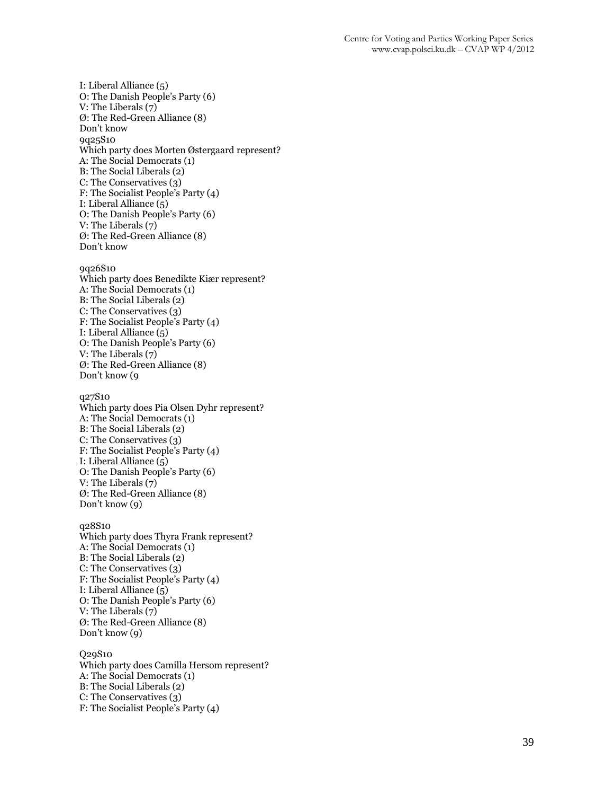I: Liberal Alliance (5) O: The Danish People's Party (6) V: The Liberals (7) Ø: The Red-Green Alliance (8) Don't know 9q25S10 Which party does Morten Østergaard represent? A: The Social Democrats (1) B: The Social Liberals (2) C: The Conservatives (3) F: The Socialist People's Party (4) I: Liberal Alliance (5) O: The Danish People's Party (6) V: The Liberals (7) Ø: The Red-Green Alliance (8) Don't know 9q26S10 Which party does Benedikte Kiær represent? A: The Social Democrats (1) B: The Social Liberals (2) C: The Conservatives (3) F: The Socialist People's Party (4) I: Liberal Alliance  $\overline{(5)}$ O: The Danish People's Party (6) V: The Liberals (7) Ø: The Red-Green Alliance (8) Don't know (9 q27S10 Which party does Pia Olsen Dyhr represent? A: The Social Democrats (1) B: The Social Liberals (2) C: The Conservatives (3) F: The Socialist People's Party (4) I: Liberal Alliance (5) O: The Danish People's Party (6) V: The Liberals (7) Ø: The Red-Green Alliance (8) Don't know (9) q28S10 Which party does Thyra Frank represent? A: The Social Democrats (1) B: The Social Liberals (2) C: The Conservatives (3) F: The Socialist People's Party (4) I: Liberal Alliance  $(\bar{5})$ O: The Danish People's Party (6) V: The Liberals (7) Ø: The Red-Green Alliance (8) Don't know (9) Q29S10 Which party does Camilla Hersom represent?

A: The Social Democrats (1) B: The Social Liberals (2) C: The Conservatives (3) F: The Socialist People's Party (4)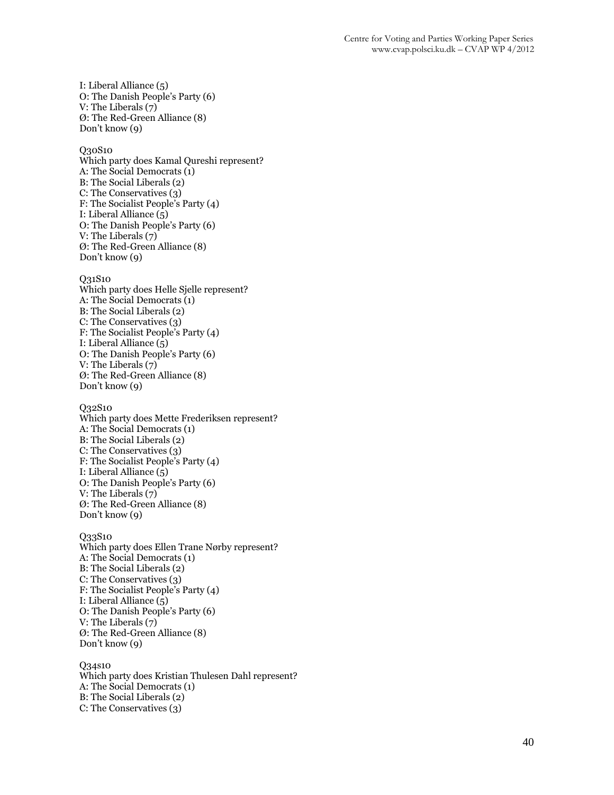I: Liberal Alliance (5) O: The Danish People's Party (6) V: The Liberals (7) Ø: The Red-Green Alliance (8) Don't know (9)

Q30S10

Which party does Kamal Qureshi represent? A: The Social Democrats (1) B: The Social Liberals (2) C: The Conservatives (3) F: The Socialist People's Party (4) I: Liberal Alliance (5) O: The Danish People's Party (6) V: The Liberals (7) Ø: The Red-Green Alliance (8) Don't know (9)

Q31S10

Which party does Helle Sjelle represent? A: The Social Democrats (1) B: The Social Liberals (2) C: The Conservatives (3) F: The Socialist People's Party (4) I: Liberal Alliance  $(\bar{5})$ O: The Danish People's Party (6) V: The Liberals (7) Ø: The Red-Green Alliance (8) Don't know (9)

Q32S10 Which party does Mette Frederiksen represent? A: The Social Democrats (1) B: The Social Liberals (2) C: The Conservatives (3) F: The Socialist People's Party (4) I: Liberal Alliance (5) O: The Danish People's Party (6) V: The Liberals (7) Ø: The Red-Green Alliance (8) Don't know (9)

Q33S10 Which party does Ellen Trane Nørby represent? A: The Social Democrats (1) B: The Social Liberals (2) C: The Conservatives (3) F: The Socialist People's Party (4) I: Liberal Alliance (5) O: The Danish People's Party (6) V: The Liberals (7) Ø: The Red-Green Alliance (8) Don't know (9)

Q34s10 Which party does Kristian Thulesen Dahl represent? A: The Social Democrats (1) B: The Social Liberals (2) C: The Conservatives (3)